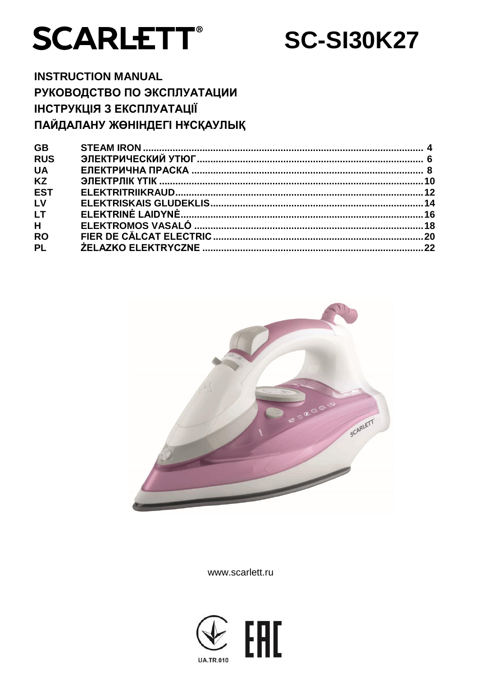

**SC-SI30K27** 

# **INSTRUCTION MANUAL** РУКОВОДСТВО ПО ЭКСПЛУАТАЦИИ ІНСТРУКЦІЯ З ЕКСПЛУАТАЦІЇ ПАЙДАЛАНУ ЖӨНІНДЕГІ НҰСҚАУЛЫҚ

| <b>GB</b>  |  |
|------------|--|
| <b>RUS</b> |  |
| <b>UA</b>  |  |
| <b>KZ</b>  |  |
| <b>EST</b> |  |
| LV         |  |
| <b>LT</b>  |  |
| H          |  |
| <b>RO</b>  |  |
| <b>PL</b>  |  |
|            |  |



www.scarlett.ru

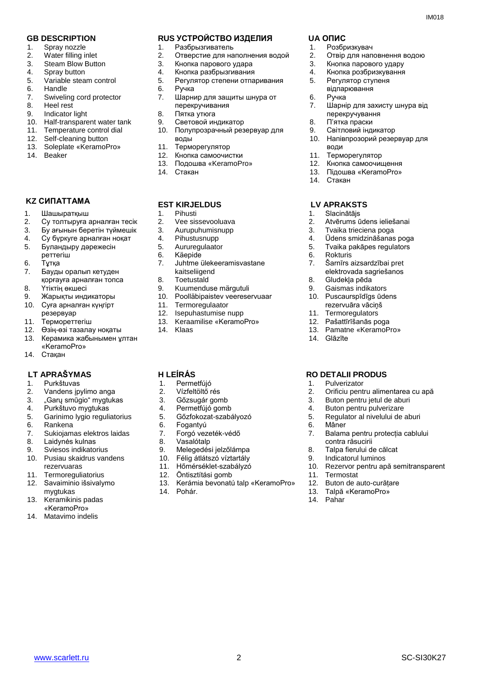- 1. Spray nozzle
- 2. Water filling inlet
- 3. Steam Blow Button
- 4. Spray button
- 5. Variable steam control
- 6. Handle
- 7. Swiveling cord protector
- 8. Heel rest
- 9. Indicator light
- 10. Half-transparent water tank
- 11. Temperature control dial
- 12. Self-cleaning button<br>13. Soleplate «KeramoF
- 13. Soleplate «KeramoPro»
- 14. Beaker

## **KZ СИПАТТАМА**

- 1. Шашыратқыш
- 2. Су толтыруға арналған тесік<br>3. Бу ағынын беретін түймешік
- 3. Бу ағынын беретін түймешік
- 4. Су бүркуге арналған ноқат<br>5. Буландыру дәрежесін
- 5. Буландыру дәрежесін реттегіш
- 6. Тұтқа
- 
- 7. Бауды оралып кетуден қорғауға арналған топса
- 8. Үтіктің өкшесі
- 9. Жарықты индикаторы
- 10. Суға арналған күңгірт
- резервуар
- 11. Термореттегіш
- 12. Өзің-өзі тазалау ноқаты
- 13. Керамика жабынымен ұлтан «KeramoPro»
- 14. Стақан

#### **LT APRAŠYMAS H LEÍRÁS RO DETALII PRODUS**

- 1. Purkštuvas
- 2. Vandens įpylimo anga
- 3. "Garų smūgio" mygtukas<br>4. Purkštuvo mygtukas
- 4. Purkštuvo mygtukas
- 5. Garinimo lygio reguliatorius
- 6. Rankena
- 7. Sukiojamas elektros laidas
- 8. Laidynės kulnas
- 9. Sviesos indikatorius
- 10. Pusiau skaidrus vandens rezervuaras
- 11. Termoreguliatorius
- 12. Savaiminio išsivalymo mygtukas
- 13. Keramikinis padas «KeramoPro»
- 14. Matavimo indelis

#### **GB DESCRIPTION RUS УСТРОЙСТВО ИЗДЕЛИЯ UA ОПИС**

- 1. Разбрызгиватель
- 2. Отверстие для наполнения водой
- 3. Кнопка парового удара
- 4. Кнопка разбрызгивания
- 5. Регулятор степени отпаривания
- 6. Ручка
- 7. Шарнир для защиты шнура от перекручивания
- 8. Пятка утюга
- 9. Световой индикатор
- 10. Полупрозрачный резервуар для воды
- 11. Терморегулятор
- 12. Кнопка самоочистки
- 13. Подошва «KeramoPro»
- 14. Стакан

#### **EST KIRJELDUS**

- 1. Pihusti
- 2. Vee sissevooluava<br>3. Aurupuhumisnupp
- 3. Aurupuhumisnupp
- 4. Pihustusnupp
- 5. Aururegulaator
- 6. Käepide
- 7. Juhtme ülekeeramisvastane kaitseliigend
- 8. Toetustald
- 9. Kuumenduse märgutuli<br>10. Poolläbipaistev veerese
- 10. Poolläbipaistev veereservuaar
- 11. Termoregulaator
- 12. Isepuhastumise nupp<br>13. Keraamilise «Keramo
- 13. Keraamilise «KeramoPro»<br>14. Klaas
- Klaas

- 1. Permetfújó
- 2. Vízfeltöltő rés
- 3. Gőzsugár gomb<br>4. Permetfújó gomb
- Permetfújó gomb
- 5. Gőzfokozat-szabályozó
- 6. Fogantyú
- 7. Forgó vezeték-védő
- 8. Vasalótalp
- 9. Melegedési jelzőlámpa
- 10. Félig átlátszó víztartály
- 11. Hőmérséklet-szabályzó
- 12. Öntisztítási gomb
- 13. Kerámia bevonatú talp «KeramoPro»

www.scarlett.ru SC-SI30K27

14. Pohár.

- 1. Розбризкувач
- 2. Отвір для наповнення водою

10. Напівпрозорий резервуар для

- 3. Кнопка парового удару
- 4. Кнопка розбризкування

перекручування 8. П'ятка праски 9. Світловий індикатор

- 5. Регулятор ступеня відпарювання
- 6. Ручка 7. Шарнір для захисту шнура від

води 11. Терморегулятор 12. Кнопка самоочищення 13. Підошва «KeramoPro»

14. Стакан

 **LV APRAKSTS**

2. Atvērums ūdens ieliešanai<br>3. Tvaika trieciena poga Tvaika trieciena poga 4. Ūdens smidzināšanas poga<br>5. Tvaika pakāpes regulators 5. Tvaika pakāpes regulators

7. Šarnīrs aizsardzībai pret elektrovada sagriešanos

1. Slacinātājs

6. Rokturis

14. Glāzīte

1. Pulverizator

6. Mâner

11. Termostat

14. Pahar

2. Orificiu pentru alimentarea cu apă<br>3. Buton pentru ietul de aburi 3. Buton pentru jetul de aburi<br>4. Buton pentru pulverizare 4. Buton pentru pulverizare<br>5. Regulator al nivelului de a

5. Regulator al nivelului de aburi

10. Rezervor pentru apă semitransparent

7. Balama pentru protecția cablului

contra răsucirii 8. Talpa fierului de călcat 9. Indicatorul luminos

12. Buton de auto-curățare 13. Talpă «KeramoPro»

8. Gludekļa pēda 9. Gaismas indikators 10. Puscaurspīdīgs ūdens rezervuāra vāciņš 11. Termoregulators 12. Pašattīrīšanās poga 13. Pamatne «KeramoPro»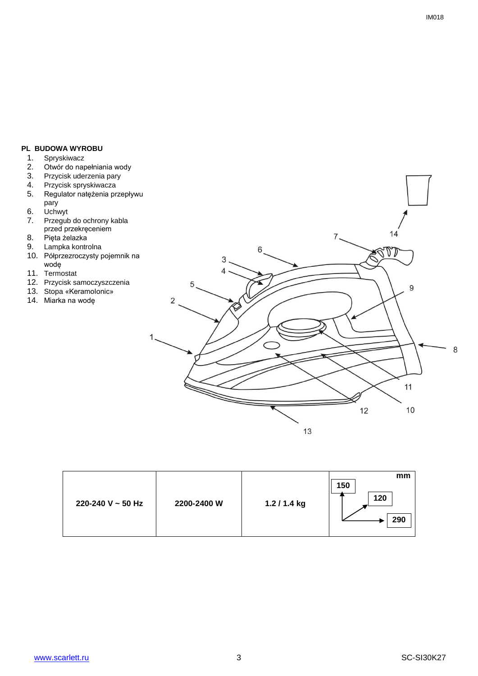## **PL BUDOWA WYROBU**

- 1. Spryskiwacz<br>2. Otwór do nap
- 2. Otwór do napełniania wody<br>3. Przycisk uderzenia pary
- 3. Przycisk uderzenia pary
- 4. Przycisk spryskiwacza
- 5. Regulator natężenia przepływu pary
- 6. Uchwyt
- 7. Przegub do ochrony kabla przed przekręceniem
- 8. Pięta żelazka
- 9. Lampka kontrolna
- 10. Półprzezroczysty pojemnik na wodę
- 11. Termostat
- 12. Przycisk samoczyszczenia
- 13. Stopa «Keramolonic»
- 14. Miarka na wodę



| 220-240 V $\sim$ 50 Hz<br>2200-2400 W | 1.2 / 1.4 kg | mm<br>150<br>120<br>290 |
|---------------------------------------|--------------|-------------------------|
|---------------------------------------|--------------|-------------------------|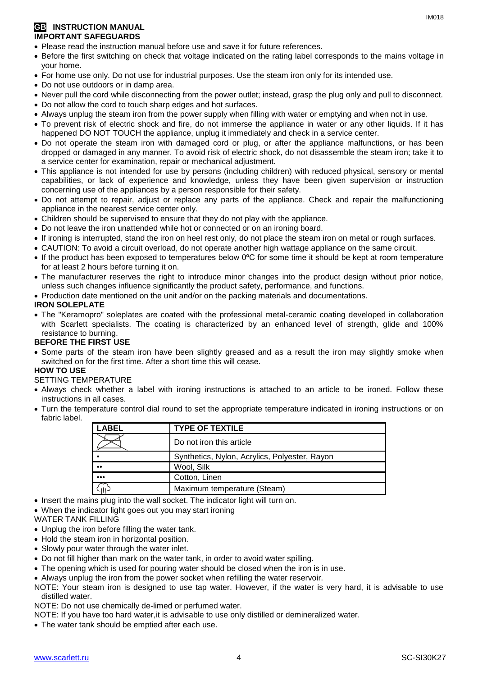## **GB INSTRUCTION MANUAL IMPORTANT SAFEGUARDS**

- Please read the instruction manual before use and save it for future references.
- Before the first switching on check that voltage indicated on the rating label corresponds to the mains voltage in your home.
- For home use only. Do not use for industrial purposes. Use the steam iron only for its intended use.
- Do not use outdoors or in damp area.
- Never pull the cord while disconnecting from the power outlet; instead, grasp the plug only and pull to disconnect.
- Do not allow the cord to touch sharp edges and hot surfaces.
- Always unplug the steam iron from the power supply when filling with water or emptying and when not in use.
- To prevent risk of electric shock and fire, do not immerse the appliance in water or any other liquids. If it has happened DO NOT TOUCH the appliance, unplug it immediately and check in a service center.
- Do not operate the steam iron with damaged cord or plug, or after the appliance malfunctions, or has been dropped or damaged in any manner. To avoid risk of electric shock, do not disassemble the steam iron; take it to a service center for examination, repair or mechanical adjustment.
- This appliance is not intended for use by persons (including children) with reduced physical, sensory or mental capabilities, or lack of experience and knowledge, unless they have been given supervision or instruction concerning use of the appliances by a person responsible for their safety.
- Do not attempt to repair, adjust or replace any parts of the appliance. Check and repair the malfunctioning appliance in the nearest service center only.
- Children should be supervised to ensure that they do not play with the appliance.
- Do not leave the iron unattended while hot or connected or on an ironing board.
- If ironing is interrupted, stand the iron on heel rest only, do not place the steam iron on metal or rough surfaces.
- CAUTION: To avoid a circuit overload, do not operate another high wattage appliance on the same circuit.
- If the product has been exposed to temperatures below 0ºC for some time it should be kept at room temperature for at least 2 hours before turning it on.
- The manufacturer reserves the right to introduce minor changes into the product design without prior notice, unless such changes influence significantly the product safety, performance, and functions.
- Production date mentioned on the unit and/or on the packing materials and documentations.

## **IRON SOLEPLATE**

 The "Keramopro" soleplates are coated with the professional metal-ceramic coating developed in collaboration with Scarlett specialists. The coating is characterized by an enhanced level of strength, glide and 100% resistance to burning.

## **BEFORE THE FIRST USE**

• Some parts of the steam iron have been slightly greased and as a result the iron may slightly smoke when switched on for the first time. After a short time this will cease.

## **HOW TO USE**

#### SETTING TEMPERATURE

- Always check whether a label with ironing instructions is attached to an article to be ironed. Follow these instructions in all cases.
- Turn the temperature control dial round to set the appropriate temperature indicated in ironing instructions or on fabric label.

| <b>LABEL</b>            | <b>TYPE OF TEXTILE</b>                        |
|-------------------------|-----------------------------------------------|
|                         | Do not iron this article                      |
|                         | Synthetics, Nylon, Acrylics, Polyester, Rayon |
| $^{\bullet\bullet}$     | Wool, Silk                                    |
| $\bullet\bullet\bullet$ | Cotton, Linen                                 |
|                         | Maximum temperature (Steam)                   |

- Insert the mains plug into the wall socket. The indicator light will turn on.
- When the indicator light goes out you may start ironing

WATER TANK FILLING

- Unplug the iron before filling the water tank.
- Hold the steam iron in horizontal position.
- Slowly pour water through the water inlet.
- Do not fill higher than mark on the water tank, in order to avoid water spilling.
- The opening which is used for pouring water should be closed when the iron is in use.
- Always unplug the iron from the power socket when refilling the water reservoir.
- NOTE: Your steam iron is designed to use tap water. However, if the water is very hard, it is advisable to use distilled water.

NOTE: Do not use chemically de-limed or perfumed water.

NOTE: If you have too hard water,it is advisable to use only distilled or demineralized water.

The water tank should be emptied after each use.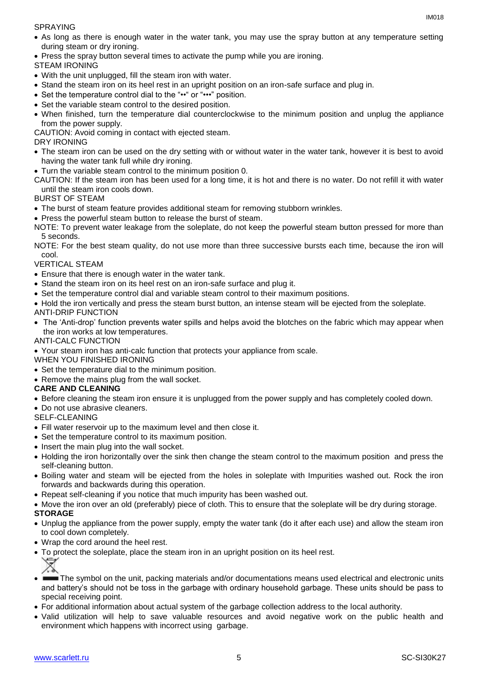SPRAYING

- As long as there is enough water in the water tank, you may use the spray button at any temperature setting during steam or dry ironing.
- Press the spray button several times to activate the pump while you are ironing.

STEAM IRONING

- With the unit unplugged, fill the steam iron with water.
- Stand the steam iron on its heel rest in an upright position on an iron-safe surface and plug in.
- Set the temperature control dial to the "••" or "•••" position.
- Set the variable steam control to the desired position.
- When finished, turn the temperature dial counterclockwise to the minimum position and unplug the appliance from the power supply.

CAUTION: Avoid coming in contact with ejected steam.

### DRY IRONING

- The steam iron can be used on the dry setting with or without water in the water tank, however it is best to avoid having the water tank full while dry ironing.
- Turn the variable steam control to the minimum position 0.
- CAUTION: If the steam iron has been used for a long time, it is hot and there is no water. Do not refill it with water until the steam iron cools down.

## BURST OF STEAM

- The burst of steam feature provides additional steam for removing stubborn wrinkles.
- Press the powerful steam button to release the burst of steam.
- NOTE: To prevent water leakage from the soleplate, do not keep the powerful steam button pressed for more than 5 seconds.

NOTE: For the best steam quality, do not use more than three successive bursts each time, because the iron will cool.

## VERTICAL STEAM

- Ensure that there is enough water in the water tank.
- Stand the steam iron on its heel rest on an iron-safe surface and plug it.
- Set the temperature control dial and variable steam control to their maximum positions.
- Hold the iron vertically and press the steam burst button, an intense steam will be ejected from the soleplate.

#### ANTI-DRIP FUNCTION

 The 'Anti-drop' function prevents water spills and helps avoid the blotches on the fabric which may appear when the iron works at low temperatures.

#### ANTI-CALC FUNCTION

Your steam iron has anti-calc function that protects your appliance from scale.

#### WHEN YOU FINISHED IRONING

- Set the temperature dial to the minimum position.
- Remove the mains plug from the wall socket.

#### **CARE AND CLEANING**

- Before cleaning the steam iron ensure it is unplugged from the power supply and has completely cooled down.
- Do not use abrasive cleaners.

## SELF-CLEANING

- Fill water reservoir up to the maximum level and then close it.
- Set the temperature control to its maximum position.
- Insert the main plug into the wall socket.
- Holding the iron horizontally over the sink then change the steam control to the maximum position and press the self-cleaning button.
- Boiling water and steam will be ejected from the holes in soleplate with Impurities washed out. Rock the iron forwards and backwards during this operation.
- Repeat self-cleaning if you notice that much impurity has been washed out.
- Move the iron over an old (preferably) piece of cloth. This to ensure that the soleplate will be dry during storage.

## **STORAGE**

- Unplug the appliance from the power supply, empty the water tank (do it after each use) and allow the steam iron to cool down completely.
- Wrap the cord around the heel rest.
- To protect the soleplate, place the steam iron in an upright position on its heel rest.
- The symbol on the unit, packing materials and/or documentations means used electrical and electronic units and battery's should not be toss in the garbage with ordinary household garbage. These units should be pass to special receiving point.
- For additional information about actual system of the garbage collection address to the local authority.
- Valid utilization will help to save valuable resources and avoid negative work on the public health and environment which happens with incorrect using garbage.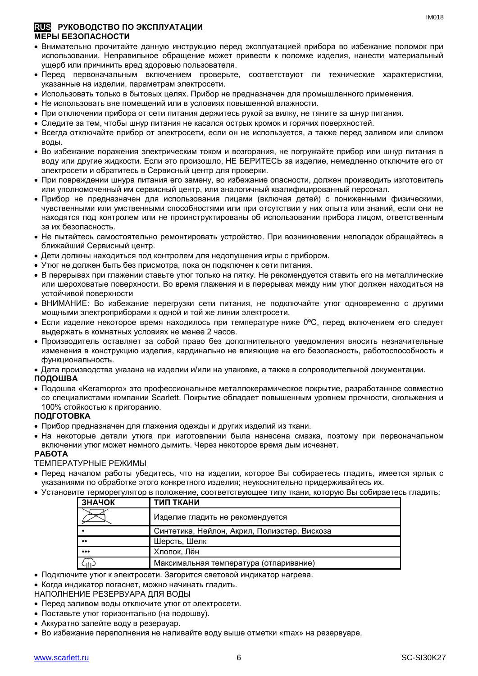#### **RUS РУКОВОДСТВО ПО ЭКСПЛУАТАЦИИ МЕРЫ БЕЗОПАСНОСТИ**

- Внимательно прочитайте данную инструкцию перед эксплуатацией прибора во избежание поломок при использовании. Неправильное обращение может привести к поломке изделия, нанести материальный ущерб или причинить вред здоровью пользователя.
- Перед первоначальным включением проверьте, соответствуют ли технические характеристики, указанные на изделии, параметрам электросети.
- Использовать только в бытовых целях. Прибор не предназначен для промышленного применения.
- Не использовать вне помещений или в условиях повышенной влажности.
- При отключении прибора от сети питания держитесь рукой за вилку, не тяните за шнур питания.
- Следите за тем, чтобы шнур питания не касался острых кромок и горячих поверхностей.
- Всегда отключайте прибор от электросети, если он не используется, а также перед заливом или сливом воды.
- Во избежание поражения электрическим током и возгорания, не погружайте прибор или шнур питания в воду или другие жидкости. Если это произошло, НЕ БЕРИТЕСЬ за изделие, немедленно отключите его от электросети и обратитесь в Сервисный центр для проверки.
- При повреждении шнура питания его замену, во избежание опасности, должен производить изготовитель или уполномоченный им сервисный центр, или аналогичный квалифицированный персонал.
- Прибор не предназначен для использования лицами (включая детей) с пониженными физическими, чувственными или умственными способностями или при отсутствии у них опыта или знаний, если они не находятся под контролем или не проинструктированы об использовании прибора лицом, ответственным за их безопасность.
- Не пытайтесь самостоятельно ремонтировать устройство. При возникновении неполадок обращайтесь в ближайший Сервисный центр.
- Дети должны находиться под контролем для недопущения игры с прибором.
- Утюг не должен быть без присмотра, пока он подключен к сети питания.
- В перерывах при глажении ставьте утюг только на пятку. Не рекомендуется ставить его на металлические или шероховатые поверхности. Во время глажения и в перерывах между ним утюг должен находиться на устойчивой поверхности
- ВНИМАНИЕ: Во избежание перегрузки сети питания, не подключайте утюг одновременно с другими мощными электроприборами к одной и той же линии электросети.
- Если изделие некоторое время находилось при температуре ниже 0ºC, перед включением его следует выдержать в комнатных условиях не менее 2 часов.
- Производитель оставляет за собой право без дополнительного уведомления вносить незначительные изменения в конструкцию изделия, кардинально не влияющие на его безопасность, работоспособность и функциональность.
- Дата производства указана на изделии и/или на упаковке, а также в сопроводительной документации.

#### **ПОДОШВА**

 Подошва «Keramopro» это профессиональное металлокерамическое покрытие, разработанное совместно со специалистами компании Scarlett. Покрытие обладает повышенным уровнем прочности, скольжения и 100% стойкостью к пригоранию.

#### **ПОДГОТОВКА**

- Прибор предназначен для глажения одежды и других изделий из ткани.
- На некоторые детали утюга при изготовлении была нанесена смазка, поэтому при первоначальном включении утюг может немного дымить. Через некоторое время дым исчезнет.

#### **РАБОТА**

ТЕМПЕРАТУРНЫЕ РЕЖИМЫ

- Перед началом работы убедитесь, что на изделии, которое Вы собираетесь гладить, имеется ярлык с указаниями по обработке этого конкретного изделия; неукоснительно придерживайтесь их.
- Установите терморегулятор в положение, соответствующее типу ткани, которую Вы собираетесь гладить:

| ЗНАЧОК                  | ТИП ТКАНИ                                    |
|-------------------------|----------------------------------------------|
|                         | Изделие гладить не рекомендуется             |
|                         | Синтетика, Нейлон, Акрил, Полиэстер, Вискоза |
| $^{\bullet}$            | Шерсть, Шелк                                 |
| $\bullet\bullet\bullet$ | Хлопок, Лён                                  |
|                         | Максимальная температура (отпаривание)       |

Подключите утюг к электросети. Загорится световой индикатор нагрева.

• Когда индикатор погаснет, можно начинать гладить.

НАПОЛНЕНИЕ РЕЗЕРВУАРА ДЛЯ ВОДЫ

- Перед заливом воды отключите утюг от электросети.
- Поставьте утюг горизонтально (на подошву).
- Аккуратно залейте воду в резервуар.
- Во избежание переполнения не наливайте воду выше отметки «max» на резервуаре.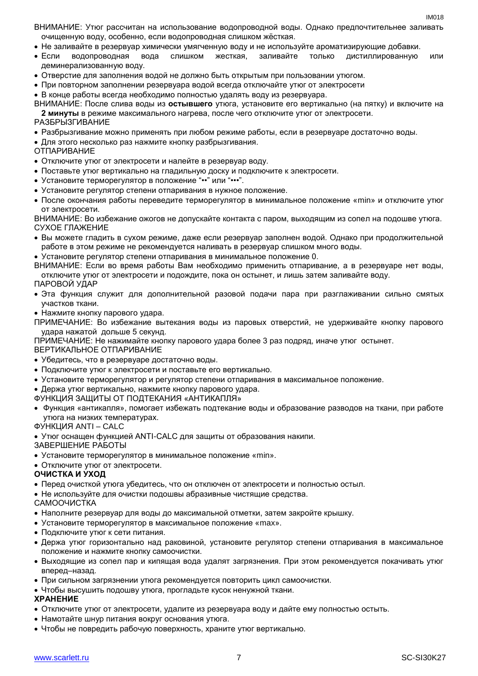- ВНИМАНИЕ: Утюг рассчитан на использование водопроводной воды. Однако предпочтительнее заливать очищенную воду, особенно, если водопроводная слишком жёсткая.
- Не заливайте в резервуар химически умягченную воду и не используйте ароматизирующие добавки.
- Если водопроводная вода слишком жесткая, заливайте только дистиллированную или деминерализованную воду.
- Отверстие для заполнения водой не должно быть открытым при пользовании утюгом.
- При повторном заполнении резервуара водой всегда отключайте утюг от электросети

В конце работы всегда необходимо полностью удалять воду из резервуара.

ВНИМАНИЕ: После слива воды из **остывшего** утюга, установите его вертикально (на пятку) и включите на **2 минуты** в режиме максимального нагрева, после чего отключите утюг от электросети.

#### РАЗБРЫЗГИВАНИЕ

- Разбрызгивание можно применять при любом режиме работы, если в резервуаре достаточно воды.
- Для этого несколько раз нажмите кнопку разбрызгивания.
- ОТПАРИВАНИЕ
- Отключите утюг от электросети и налейте в резервуар воду.
- Поставьте утюг вертикально на гладильную доску и подключите к электросети.
- Установите терморегулятор в положение "•• " или "••• ".
- Установите регулятор степени отпаривания в нужное положение.
- После окончания работы переведите терморегулятор в минимальное положение «min» и отключите утюг от электросети.

ВНИМАНИЕ: Во избежание ожогов не допускайте контакта с паром, выходящим из сопел на подошве утюга. СУХОЕ ГЛАЖЕНИЕ

- Вы можете гладить в сухом режиме, даже если резервуар заполнен водой. Однако при продолжительной работе в этом режиме не рекомендуется наливать в резервуар слишком много воды.
- Установите регулятор степени отпаривания в минимальное положение 0.

ВНИМАНИЕ: Если во время работы Вам необходимо применить отпаривание, а в резервуаре нет воды, отключите утюг от электросети и подождите, пока он остынет, и лишь затем заливайте воду. ПАРОВОЙ УДАР

- Эта функция служит для дополнительной разовой подачи пара при разглаживании сильно смятых участков ткани.
- Нажмите кнопку парового удара.
- ПРИМЕЧАНИЕ: Во избежание вытекания воды из паровых отверстий, не удерживайте кнопку парового удара нажатой дольше 5 секунд.

ПРИМЕЧАНИЕ: Не нажимайте кнопку парового удара более 3 раз подряд, иначе утюг остынет.

ВЕРТИКАЛЬНОЕ ОТПАРИВАНИЕ

- Убедитесь, что в резервуаре достаточно воды.
- Подключите утюг к электросети и поставьте его вертикально.
- Установите терморегулятор и регулятор степени отпаривания в максимальное положение.
- Держа утюг вертикально, нажмите кнопку парового удара.

ФУНКЦИЯ ЗАЩИТЫ ОТ ПОДТЕКАНИЯ «АНТИКАПЛЯ»

 Функция «антикапля», помогает избежать подтекание воды и образование разводов на ткани, при работе утюга на низких температурах.

ФУНКЦИЯ ANTI – CALC

Утюг оснащен функцией ANTI-CALC для защиты от образования накипи.

ЗАВЕРШЕНИЕ РАБОТЫ

- Установите терморегулятор в минимальное положение «min».
- Отключите утюг от электросети.

#### **ОЧИСТКА И УХОД**

- Перед очисткой утюга убедитесь, что он отключен от электросети и полностью остыл.
- Не используйте для очистки подошвы абразивные чистящие средства.
- САМООЧИСТКА
- Наполните резервуар для воды до максимальной отметки, затем закройте крышку.
- Установите терморегулятор в максимальное положение «max».
- Подключите утюг к сети питания.
- Держа утюг горизонтально над раковиной, установите регулятор степени отпаривания в максимальное положение и нажмите кнопку самоочистки.
- Выходящие из сопел пар и кипящая вода удалят загрязнения. При этом рекомендуется покачивать утюг вперед–назад.
- При сильном загрязнении утюга рекомендуется повторить цикл самоочистки.
- Чтобы высушить подошву утюга, прогладьте кусок ненужной ткани.

#### **ХРАНЕНИЕ**

- Отключите утюг от электросети, удалите из резервуара воду и дайте ему полностью остыть.
- Намотайте шнур питания вокруг основания утюга.
- Чтобы не повредить рабочую поверхность, храните утюг вертикально.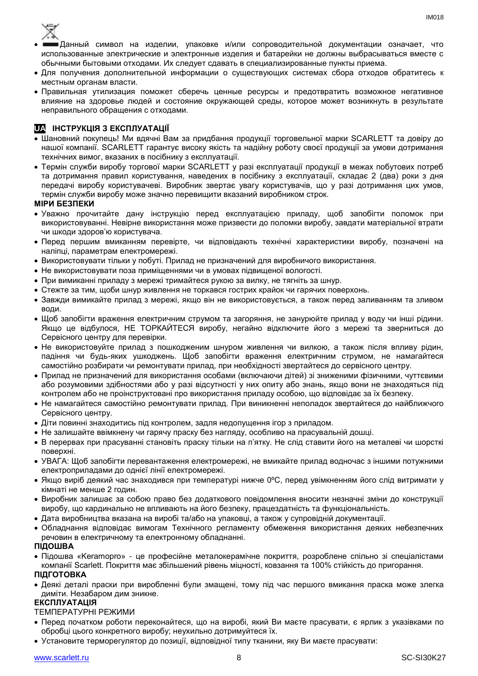

- Данный символ на изделии, упаковке и/или сопроводительной документации означает, что использованные электрические и электронные изделия и батарейки не должны выбрасываться вместе с обычными бытовыми отходами. Их следует сдавать в специализированные пункты приема.
- Для получения дополнительной информации о существующих системах сбора отходов обратитесь к местным органам власти.
- Правильная утилизация поможет сберечь ценные ресурсы и предотвратить возможное негативное влияние на здоровье людей и состояние окружающей среды, которое может возникнуть в результате неправильного обращения с отходами.

## **UA ІНСТРУКЦІЯ З ЕКСПЛУАТАЦІЇ**

- Шановний покупець! Ми вдячні Вам за придбання продукції торговельної марки SCARLETT та довіру до нашої компанії. SCARLETT гарантує високу якість та надійну роботу своєї продукції за умови дотримання технічних вимог, вказаних в посібнику з експлуатації.
- Термін служби виробу торгової марки SCARLETT у разі експлуатації продукції в межах побутових потреб та дотримання правил користування, наведених в посібнику з експлуатації, складає 2 (два) роки з дня передачі виробу користувачеві. Виробник звертає увагу користувачів, що у разі дотримання цих умов, термін служби виробу може значно перевищити вказаний виробником строк.

## **МІРИ БЕЗПЕКИ**

- Уважно прочитайте дану інструкцію перед експлуатацією приладу, щоб запобігти поломок при використовуванні. Невірне використання може призвести до поломки виробу, завдати матеріальної втрати чи шкоди здоров'ю користувача.
- Перед першим вмиканням перевірте, чи відповідають технічні характеристики виробу, позначені на наліпці, параметрам електромережі.
- Використовувати тільки у побуті. Прилад не призначений для виробничого використання.
- Не використовувати поза приміщеннями чи в умовах підвищеної вологості.
- При вимиканні приладу з мережі тримайтеся рукою за вилку, не тягніть за шнур.
- Стежте за тим, щоби шнур живлення не торкався гострих крайок чи гарячих поверхонь.
- Завжди вимикайте прилад з мережі, якщо він не використовується, а також перед заливанням та зливом води.
- Щоб запобігти враження електричним струмом та загоряння, не занурюйте прилад у воду чи інші рідини. Якщо це відбулося, НЕ ТОРКАЙТЕСЯ виробу, негайно відключите його з мережі та зверниться до Сервісного центру для перевірки.
- Не використовуйте прилад з пошкодженим шнуром живлення чи вилкою, а також після впливу рідин, падіння чи будь-яких ушкоджень. Щоб запобігти враження електричним струмом, не намагайтеся самостійно розбирати чи ремонтувати прилад, при необхідності звертайтеся до сервісного центру.
- Прилад не призначений для використання особами (включаючи дітей) зі зниженими фізичними, чуттєвими або розумовими здібностями або у разі відсутності у них опиту або знань, якщо вони не знаходяться під контролем або не проінструктовані про використання приладу особою, що відповідає за їх безпеку.
- Не намагайтеся самостійно ремонтувати прилад. При виникненні неполадок звертайтеся до найближчого Сервісного центру.
- Діти повинні знаходитись під контролем, задля недопущення ігор з приладом.
- Не залишайте ввімкнену чи гарячу праску без нагляду, особливо на прасувальній дошці.
- В перервах при прасуванні становіть праску тільки на п'ятку. Не слід ставити його на металеві чи шорсткі поверхні.
- УВАГА: Щоб запобігти перевантаження електромережі, не вмикайте прилад водночас з іншими потужними електроприладами до однієї лінії електромережі.
- Якщо виріб деякий час знаходився при температурі нижче 0ºC, перед увімкненням його слід витримати у кімнаті не менше 2 годин.
- Виробник залишає за собою право без додаткового повідомлення вносити незначні зміни до конструкції виробу, що кардинально не впливають на його безпеку, працездатність та функціональність.
- Дата виробництва вказана на виробі та/або на упаковці, а також у супровідній документації.
- Обладнання відповідає вимогам Технічного регламенту обмеження використання деяких небезпечних речовин в електричному та електронному обладнанні.
- **ПІДОШВА**
- Підошва «Keramopro» це професійне металокерамічне покриття, розроблене спільно зі спеціалістами компанії Scarlett. Покриття має збільшений рівень міцності, ковзання та 100% стійкість до пригорання.

#### **ПІДГОТОВКА**

 Деякі деталі праски при виробленні були змащені, тому пiд час першого вмикання праска може злегка диміти. Незабаром дим зникне.

## **ЕКСПЛУАТАЦІЯ**

ТЕМПЕРАТУРНІ РЕЖИМИ

- Перед початком роботи переконайтеся, що на виробі, який Ви маєте прасувати, є ярлик з указівками по обробці цього конкретного виробу; неухильно дотримуйтеся їх.
- Установите терморегулятор до позиції, відповідної типу тканини, яку Ви маєте прасувати:

IM018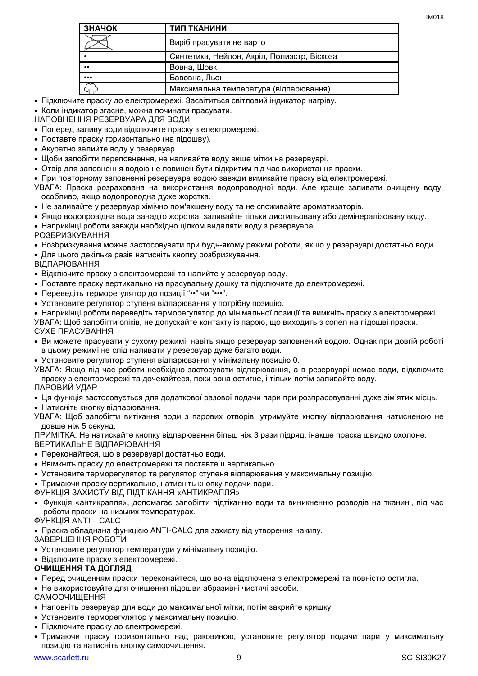| ЗНАЧОК                  | ТИП ТКАНИНИ                                 |
|-------------------------|---------------------------------------------|
|                         | Виріб прасувати не варто                    |
|                         | Синтетика, Нейлон, Акріл, Полиэстр, Віскоза |
| $^{\bullet}$            | Вовна, Шовк                                 |
| $\bullet\bullet\bullet$ | Бавовна, Льон                               |
|                         | Максимальна температура (відпарювання)      |

Підключите праску до електромережі. Засвітиться світловий індикатор нагріву.

• Коли індикатор згасне, можна починати прасувати.

НАПОВНЕННЯ РЕЗЕРВУАРА ДЛЯ ВОДИ

- Поперед заливу води відключите праску з електромережі.
- Поставте праску горизонтально (на підошву).
- Акуратно залийте воду у резервуар.
- Щоби запобігти переповнення, не наливайте воду вище мітки на резервуарі.
- Отвір для заповнення водою не повинен бути відкритим під час використання праски.
- При повторному заповненні резервуара водою завжди вимикайте праску від електромережі.

УВАГА: Праска розрахована на використання водопроводної води. Але краще заливати очищену воду, особливо, якщо водопроводна дуже жорстка.

- Не заливайте у резервуар хімічно пом'якшену воду та не споживайте ароматизаторів.
- Якщо водопровідна вода занадто жорстка, заливайте тільки дистильовану або демінералізовану воду.
- Наприкінці роботи завжди необхідно цілком видаляти воду з резервуара.

РОЗБРИЗКУВАННЯ

- Розбризкування можна застосовувати при будь-якому режимі роботи, якщо у резервуарі достатньо води.
- Для цього декілька разів натисніть кнопку розбризкування.

ВІДПАРЮВАННЯ

Відключите праску з електромережі та налийте у резервуар воду.

- Поставте праску вертикально на прасувальну дошку та підключите до електромережі.
- Переведіть терморегулятор до позиції "••" чи "•••".
- Установите регулятор ступеня відпарювання у потрібну позицію.

 Наприкінці роботи переведіть терморегулятор до мінімальної позиції та вимкніть праску з електромережі. УВАГА: Щоб запобігти опіків, не допускайте контакту із парою, що виходить з сопел на підошві праски. СУХЕ ПРАСУВАННЯ

- Ви можете прасувати у сухому режимі, навіть якщо резервуар заповнений водою. Однак при довгій роботі в цьому режимі не слід наливати у резервуар дуже багато води.
- Установите регулятор ступеня відпарювання у мінімальну позицію 0.

УВАГА: Якщо пiд час роботи необхідно застосувати відпарювання, а в резервуарі немає води, відключите праску з електромережі та дочекайтеся, поки вона остигне, і тільки потім заливайте воду.

ПАРОВИЙ УДАР

Ця функція застосовується для додаткової разової подачи пари при розпрасовуванні дуже зім'ятих місць.

Натисніть кнопку відпарювання.

УВАГА: Щоб запобігти витікання води з парових отворів, утримуйте кнопку відпарювання натисненою не довше ніж 5 секунд.

ПРИМІТКА: Не натискайте кнопку відпарювання більш ніж 3 рази підряд, інакше праска швидко охолоне. ВЕРТИКАЛЬНЕ ВІДПАРЮВАННЯ

- Переконайтеся, що в резервуарі достатньо води.
- Ввімкніть праску до електромережі та поставте її вертикально.
- Установите терморегулятор та регулятор ступеня відпарювання у максимальну позицію.

Тримаючи праску вертикально, натисніть кнопку подачи пари.

ФУНКЦІЯ ЗАХИСТУ ВІД ПІДТІКАННЯ «АНТИКРАПЛЯ»

 Функція «антикрапля», допомагає запобігти підтіканню води та виникненню розводів на тканині, під час роботи праски на низьких температурах.

ФУНКЦІЯ ANTI – CALC

Праска обладнана функцією ANTI-CALC для захисту від утворення накипу.

ЗАВЕРШЕННЯ РОБОТИ

- Установите регулятор температури у мінімальну позицію.
- Відключите праску з електромережі.

## **ОЧИЩЕННЯ ТА ДОГЛЯД**

- Перед очищенням праски переконайтеся, що вона відключена з електромережі та повністю остигла.
- Не використовуйте для очищення підошви абразивні чистячі засоби.

САМООЧИЩЕННЯ

- Наповніть резервуар для води до максимальної мітки, потім закрийте кришку.
- Установите терморегулятор у максимальну позицію.
- Підключите праску до єлектромережі.
- Тримаючи праску горизонтально над раковиною, установите регулятор подачи пари у максимальну позицію та натисніть кнопку самоочищення.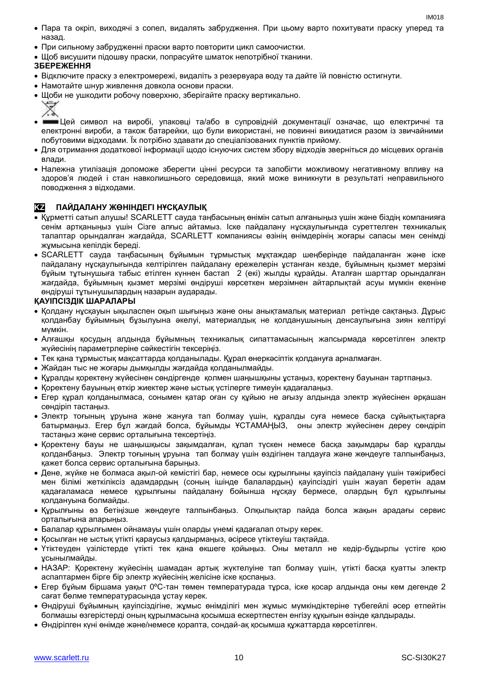- Пара та окріп, виходячі з сопел, видалять забрудження. При цьому варто похитувати праску уперед та назад.
- При сильному забрудженні праски варто повторити цикл самоочистки.
- Щоб висушити підошву праски, попрасуйте шматок непотрібної тканини.

## **ЗБЕРЕЖЕННЯ**

くゝ

- Відключите праску з електромережі, видаліть з резервуара воду та дайте їй повністю остигнути.
- Намотайте шнур живлення довкола основи праски.
- Щоби не ушкодити робочу поверхню, зберігайте праску вертикально. ▽
- • Цей символ на виробі, упаковці та/або в супровідній документації означає, що електричні та електронні вироби, а також батарейки, що були використані, не повинні викидатися разом із звичайними побутовими відходами. Їх потрібно здавати до спеціалізованих пунктів прийому.
- Для отримання додаткової інформації щодо існуючих систем збору відходів зверніться до місцевих органів влади.
- Належна утилізація допоможе зберегти цінні ресурси та запобігти можливому негативному впливу на здоров'я людей і стан навколишнього середовища, який може виникнути в результаті неправильного поводження з відходами.

## **KZ ПАЙДАЛАНУ ЖӨНІНДЕГІ НҰСҚАУЛЫҚ**

- Құрметті сатып алушы! SCARLETT сауда таңбасының өнімін сатып алғаныңыз үшін және біздің компанияға сенім артқаныңыз үшін Сізге алғыс айтамыз. Іске пайдалану нұсқаулығында суреттелген техникалық талаптар орындалған жағдайда, SCARLETT компаниясы өзінің өнімдерінің жоғары сапасы мен сенімді жұмысына кепілдік береді.
- SCARLETT сауда таңбасының бұйымын тұрмыстық мұқтаждар шеңберінде пайдаланған және іске пайдалану нұсқаулығында келтірілген пайдалану ережелерін ұстанған кезде, бұйымның қызмет мерзімі бұйым тұтынушыға табыс етілген күннен бастап 2 (екі) жылды құрайды. Аталған шарттар орындалған жағдайда, бұйымның қызмет мерзімі өндіруші көрсеткен мерзімнен айтарлықтай асуы мүмкін екеніне өндіруші тұтынушылардың назарын аударады.

#### **ҚАУІПСІЗДІК ШАРАЛАРЫ**

- Қолдану нұсқауын ықыласпен оқып шығыңыз және оны анықтамалық материал ретінде сақтаңыз. Дұрыс қолданбау бұйымның бұзылуына әкелуі, материалдық не қолданушының денсаулығына зиян келтіруі мүмкін.
- Алғашқы қосудың алдында бұйымның техникалық сипаттамасының жапсырмада көрсетілген электр жүйесінің параметрлеріне сәйкестігін тексеріңіз.
- Тек қана тұрмыстық мақсаттарда қолданылады. Құрал өнеркәсіптік қолдануға арналмаған.
- Жайдан тыс не жоғары дымқылды жағдайда қолданылмайды.
- Құралды қоректену жүйесінен сөндіргенде қолмен шаңышқыны ұстаңыз, қоректену бауынан тартпаңыз.
- Қоректену бауының өткір жиектер және ыстық үстілерге тимеуін қадағалаңыз.
- Егер құрал қолданылмаса, сонымен қатар оған су құйыю не ағызу алдында электр жүйесінен әрқашан сөндіріп тастаңыз.
- Электр тоғының ұруына және жануға тап болмау үшін, құралды суға немесе басқа сұйықтықтарға батырмаңыз. Егер бұл жағдай болса, бұйымды ҰСТАМАҢЫЗ, оны электр жүйесінен дереу сөндіріп тастаңыз және сервис орталығына тексертіңіз.
- Қоректену бауы не шаңышқысы зақымдалған, құлап түскен немесе басқа зақымдары бар құралды қолданбаңыз. Электр тоғының ұруына тап болмау үшін өздігінен талдауға және жөндеуге талпынбаңыз, қажет болса сервис орталығына барыңыз.
- Дене, жүйке не болмаса ақыл-ой кемістігі бар, немесе осы құрылғыны қауіпсіз пайдалану үшін тәжірибесі мен білімі жеткіліксіз адамдардың (соның ішінде балалардың) қауіпсіздігі үшін жауап беретін адам қадағаламаса немесе құрылғыны пайдалану бойынша нұсқау бермесе, олардың бұл құрылғыны қолдануына болмайды.
- Құрылғыны өз бетіңізше жөндеуге талпынбаңыз. Олқылықтар пайда болса жақын арадағы сервис орталығына апарыңыз.
- Балалар құрылғымен ойнамауы үшін оларды үнемі қадағалап отыру керек.
- Қосылған не ыстық үтікті қараусыз қалдырмаңыз, әсіресе үтіктеуіш тақтайда.
- Үтіктеуден үзілістерде үтікті тек қана өкшеге қойыңыз. Оны металл не кедір-бұдырлы үстіге қою ұсынылмайды.
- НАЗАР: Қоректену жүйесінің шамадан артық жүктелуіне тап болмау үшін, үтікті басқа қуатты электр аспаптармен бірге бір электр жүйесінің желісіне іске қоспаңыз.
- Егер бұйым біршама уақыт 0ºC-тан төмен температурада тұрса, іске қосар алдында оны кем дегенде 2 сағат бөлме температурасында ұстау керек.
- Өндіруші бұйымның қауіпсіздігіне, жұмыс өнімділігі мен жұмыс мүмкіндіктеріне түбегейлі әсер етпейтін болмашы өзгерістерді оның құрылмасына қосымша ескертпестен енгізу құқығын өзінде қалдырады.
- Өндірілген күні өнімде және/немесе қорапта, сондай-ақ қосымша құжаттарда көрсетілген.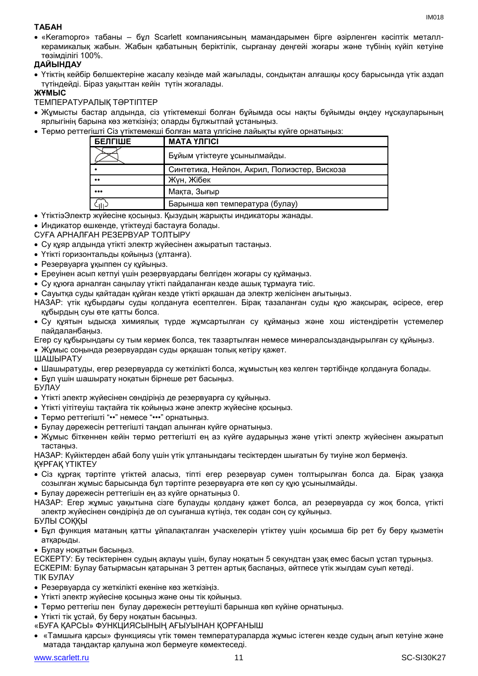## **ТАБАН**

 «Keramopro» табаны – бұл Scarlett компаниясының мамандарымен бірге әзірленген кәсіптік металлкерамикалық жабын. Жабын қабатының беріктілік, сырғанау деңгейі жоғары және түбінің күйіп кетуіне төзімділігі 100%.

## **ДАЙЫНДАУ**

 Үтіктің кейбір бөлшектеріне жасалу кезінде май жағылады, сондықтан алғашқы қосу барысында үтік аздап түтіндейді. Біраз уақыттан кейін түтін жоғалады.

## **ЖҰМЫС**

ТЕМПЕРАТУРАЛЫҚ ТӘРТІПТЕР

- Жұмысты бастар алдында, сіз үтіктемекші болған бұйымда осы нақты бұйымды өңдеу нұсқауларының ярлыгінің барына көз жеткізіңіз; оларды бұлжытпай ұстаныңыз.
- Термо реттегішті Сіз үтіктемекші болған мата үлгісіне лайықты күйге орнатыңыз:

| БЕЛГІШЕ                 | <b>MATA YJIFICI</b>                          |
|-------------------------|----------------------------------------------|
|                         | Бұйым үтіктеуге ұсынылмайды.                 |
|                         | Синтетика, Нейлон, Акрил, Полиэстер, Вискоза |
| $^{\bullet}$            | Жүн, Жібек                                   |
| $\bullet\bullet\bullet$ | Мақта, Зығыр                                 |
|                         | Барынша көп температура (булау)              |

- ҮтіктіэЭлектр жүйесіне қосыңыз. Қызудың жарықты индикаторы жанады.
- Индикатор өшкенде, үтіктеуді бастауға болады.

СУҒА АРНАЛҒАН РЕЗЕРВУАР ТОЛТЫРУ

- Су құяр алдында үтікті электр жүйесінен ажыратып тастаңыз.
- Үтікті горизонтальды қойыңыз (ұлтанға).
- Резервуарға ұқыппен су құйыңыз.
- Ереуінен асып кетпуі үшін резервуардағы белгіден жоғары су құймаңыз.
- Су құюға арналған саңылау үтікті пайдаланған кезде ашық тұрмауға тиіс.
- Сауытқа суды қайтадан құйған кезде үтікті әрқашан да электр желісінен ағытыңыз.

НАЗАР: үтік құбырдағы суды қолдануға есептелген. Бірақ тазаланған суды құю жақсырақ, әсіресе, егер құбырдың суы өте қатты болса.

- Су құятын ыдысқа химиялық түрде жұмсартылған су құймаңыз және хош иістендіретін үстемелер пайдаланбаңыз.
- Егер су құбырындағы су тым кермек болса, тек тазартылған немесе минералсыздандырылған су құйыңыз. Жұмыс соңында резервуардан суды әрқашан толық кетіру қажет.

ШАШЫРАТУ

- Шашыратуды, егер резервуарда су жеткілікті болса, жұмыстың кез келген тәртібінде қолдануға болады.
- Бұл үшін шашырату ноқатын бірнеше рет басыңыз.

БУЛАУ

- Үтікті электр жүйесінен сөндіріңіз де резервуарға су құйыңыз.
- Үтікті үітітеуіш тақтайға тік қойыңыз және электр жүйесіне қосыңыз.
- Термо реттегішті "••" немесе "•••" орнатыңыз.
- Булау дәрежесін реттегішті таңдап алынған күйге орнатыңыз.
- Жұмыс біткеннен кейін термо реттегішті ең аз күйге аударыңыз және үтікті электр жүйесінен ажыратып тастаңыз.

НАЗАР: Күйіктерден абай болу үшін үтік ұлтанындағы тесіктерден шығатын бу тиуіне жол бермеңіз. ҚҰРҒАҚ ҮТІКТЕУ

- Сіз құрғақ тәртіпте үтіктей алаcыз, тіпті егер резервуар сумен толтырылған болса да. Бірақ ұзаққа созылған жұмыс барысында бұл тәртіпте резервуарға өте көп су құю ұсынылмайды.
- Булау дәрежесін реттегішін ең аз күйге орнатыңыз 0.
- НАЗАР: Егер жұмыс уақытына сізге булауды қолдану қажет болса, ал резервуарда су жоқ болса, үтікті электр жүйесінен сөндіріңіз де ол суығанша күтіңіз, тек содан соң су құйыңыз.
- БУЛЫ СОҚҚЫ
- Бұл функция матаның қатты ұйпалақталған учаскелерін үтіктеу үшін қосымша бір рет бу беру қызметін атқарыды.

Булау ноқатын басыңыз.

- ЕСКЕРТУ: Бу тесіктерінен судың ақпауы үшін, булау ноқатын 5 секундтан ұзақ емес басып ұстап тұрыңыз. ЕСКЕРІМ: Булау батырмасын қатарынан 3 реттен артық баспаңыз, әйтпесе үтік жылдам суып кетеді. ТІК БУЛАУ
- Резервуарда су жеткілікті екеніне көз жеткізіңіз.
- Үтікті электр жүйесіне қосыңыз және оны тік қойыңыз.
- Термо реттегіш пен булау дәрежесін реттеуішті барынша көп күйіне орнатыңыз.
- Үтікті тік ұстай, бу беру ноқатын басыңыз.
- «БУҒА ҚАРСЫ» ФУНКЦИЯСЫНЫҢ АҒЫУЫНАН ҚОРҒАНЫШ
- «Тамшыға қарсы» функциясы үтік төмен температураларда жұмыс істеген кезде судың ағып кетуіне және матада таңдақтар қалуына жол бермеуге көмектеседі.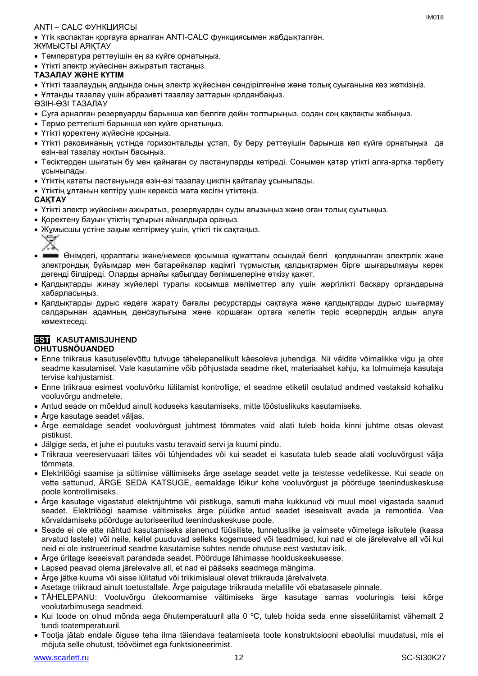## ANTI – CALC ФУНКЦИЯСЫ

 Үтік қаспақтан қорғауға арналған ANTI-CALC функциясымен жабдықталған. ЖҰМЫСТЫ АЯҚТАУ

- Температура реттеуішін ең аз күйге орнатыңыз.
- Үтікті электр жүйесінен ажыратып тастаңыз.

## **ТАЗАЛАУ ЖӘНЕ КҮТІМ**

Үтікті тазалаудың алдында оның электр жүйесінен сөндірілгеніне және толық суығанына көз жеткізіңіз.

Ұлтанды тазалау үшін абразивті тазалау заттарын қолданбаңыз.

ӨЗІН-ӨЗІ ТАЗАЛАУ

- Суға арналған резервуарды барынша көп белгіге дейін толтырыңыз, содан соң қақпақты жабыңыз.
- Термо реттегішті барынша көп күйге орнатыңыз.
- Үтікті қоректену жүйесіне қосыңыз.
- Үтікті раковинаның үстінде горизонтальды ұстап, бу беру реттеуішін барынша көп күйге орнатыңыз да өзін-өзі тазалау ноқтын басыңыз.
- Тесіктерден шығатын бу мен қайнаған су ластануларды кетіреді. Сонымен қатар үтікті алға-артқа тербету ұсынылады.
- Үтіктің қататы ластануында өзін-өзі тазалау циклін қайталау ұсынылады.
- Үтіктің ұлтанын кептіру үшін керексіз мата кесігін үтіктеңіз.

#### **САҚТАУ**

- Үтікті электр жүйесінен ажыратыз, резервуардан суды ағызыңыз және оған толық суытыңыз.
- Қоректену бауын үтіктің тұғырын айналдыра ораңыз.
- Жұмысшы үстіне зақым келтірмеу үшін, үтікті тік сақтаңыз.



- Өнімдегі, қораптағы және/немесе қосымша құжаттағы осындай белгі қолданылған электрлік және электрондық бұйымдар мен батарейкалар кәдімгі тұрмыстық қалдықтармен бірге шығарылмауы керек дегенді білдіреді. Оларды арнайы қабылдау бөлімшелеріне өткізу қажет.
- Қалдықтарды жинау жүйелері туралы қосымша мәліметтер алу үшін жергілікті басқару органдарына хабарласыңыз.
- Қалдықтарды дұрыс кәдеге жарату бағалы ресурстарды сақтауға және қалдықтарды дұрыс шығармау салдарынан адамның денсаулығына және қоршаған ортаға келетін теріс әсерлердің алдын алуға көмектеседі.

## **EST KASUTAMISJUHEND OHUTUSNÕUANDED**

- Enne triikraua kasutuselevõttu tutvuge tähelepanelikult käesoleva juhendiga. Nii väldite võimalikke vigu ja ohte seadme kasutamisel. Vale kasutamine võib põhjustada seadme riket, materiaalset kahju, ka tolmuimeja kasutaja tervise kahjustamist.
- Enne triikraua esimest vooluvõrku lülitamist kontrollige, et seadme etiketil osutatud andmed vastaksid kohaliku vooluvõrgu andmetele.
- Antud seade on mõeldud ainult koduseks kasutamiseks, mitte tööstuslikuks kasutamiseks.
- Ärge kasutage seadet väljas.
- Ärge eemaldage seadet vooluvõrgust juhtmest tõmmates vaid alati tuleb hoida kinni juhtme otsas olevast pistikust.
- Jälgige seda, et juhe ei puutuks vastu teravaid servi ja kuumi pindu.
- Triikraua veereservuaari täites või tühjendades või kui seadet ei kasutata tuleb seade alati vooluvõrgust välja tõmmata.
- Elektrilöögi saamise ja süttimise vältimiseks ärge asetage seadet vette ja teistesse vedelikesse. Kui seade on vette sattunud, ÄRGE SEDA KATSUGE, eemaldage lõikur kohe vooluvõrgust ja pöörduge teeninduskeskuse poole kontrollimiseks.
- Ärge kasutage vigastatud elektrijuhtme või pistikuga, samuti maha kukkunud või muul moel vigastada saanud seadet. Elektrilöögi saamise vältimiseks ärge püüdke antud seadet iseseisvalt avada ja remontida. Vea kõrvaldamiseks pöörduge autoriseeritud teeninduskeskuse poole.
- Seade ei ole ette nähtud kasutamiseks alanenud füüsiliste, tunnetuslike ja vaimsete võimetega isikutele (kaasa arvatud lastele) või neile, kellel puuduvad selleks kogemused või teadmised, kui nad ei ole järelevalve all või kui neid ei ole instrueerinud seadme kasutamise suhtes nende ohutuse eest vastutav isik.
- Ärge üritage iseseisvalt parandada seadet. Pöörduge lähimasse hoolduskeskusesse.
- Lapsed peavad olema järelevalve all, et nad ei pääseks seadmega mängima.
- Ärge jätke kuuma või sisse lülitatud või triikimislaual olevat triikrauda järelvalveta.
- Asetage triikraud ainult toetustallale. Ärge paigutage triikrauda metallile või ebatasasele pinnale.
- TÄHELEPANU: Vooluvõrgu ülekoormamise vältimiseks ärge kasutage samas vooluringis teisi kõrge voolutarbimusega seadmeid.
- Kui toode on olnud mõnda aega õhutemperatuuril alla 0 ºC, tuleb hoida seda enne sisselülitamist vähemalt 2 tundi toatemperatuuril.
- Tootja jätab endale õiguse teha ilma täiendava teatamiseta toote konstruktsiooni ebaolulisi muudatusi, mis ei mõjuta selle ohutust, töövõimet ega funktsioneerimist.

 $INAO18$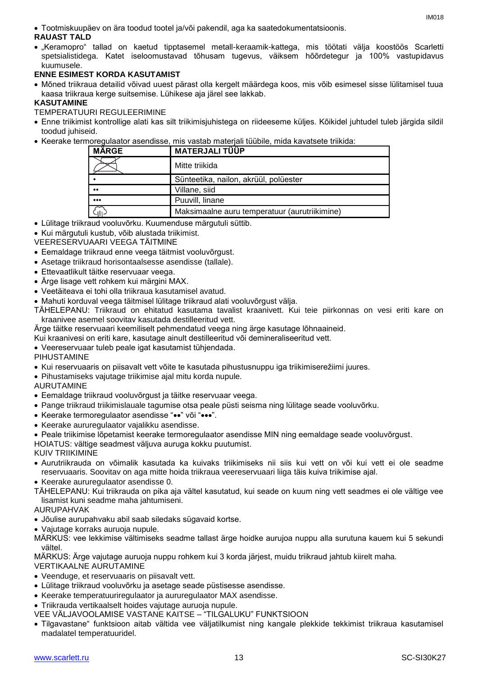Tootmiskuupäev on ära toodud tootel ja/või pakendil, aga ka saatedokumentatsioonis.

## **RAUAST TALD**

 "Keramopro" tallad on kaetud tipptasemel metall-keraamik-kattega, mis töötati välja koostöös Scarletti spetsialistidega. Katet iseloomustavad tõhusam tugevus, väiksem hõõrdetegur ja 100% vastupidavus kuumusele.

## **ENNE ESIMEST KORDA KASUTAMIST**

 Mõned triikraua detailid võivad uuest pärast olla kergelt määrdega koos, mis võib esimesel sisse lülitamisel tuua kaasa triikraua kerge suitsemise. Lühikese aja järel see lakkab.

## **KASUTAMINE**

TEMPERATUURI REGULEERIMINE

- Enne triikimist kontrollige alati kas silt triikimisjuhistega on riideeseme küljes. Kõikidel juhtudel tuleb järgida sildil toodud juhiseid.
- Keerake termoregulaator asendisse, mis vastab materjali tüübile, mida kavatsete triikida:

| <b>MÄRGE</b>            | MATERJALI TÜÜP                                |
|-------------------------|-----------------------------------------------|
|                         | Mitte triikida                                |
|                         | Sünteetika, nailon, akrüül, polüester         |
| $\bullet\bullet$        | Villane, siid                                 |
| $\bullet\bullet\bullet$ | Puuvill, linane                               |
| C iti                   | Maksimaalne auru temperatuur (aurutriikimine) |

Lülitage triikraud vooluvõrku. Kuumenduse märgutuli süttib.

Kui märgutuli kustub, võib alustada triikimist.

VEERESERVUAARI VEEGA TÄITMINE

- Eemaldage triikraud enne veega täitmist vooluvõrgust.
- Asetage triikraud horisontaalsesse asendisse (tallale).
- Ettevaatlikult täitke reservuaar veega.
- Ärge lisage vett rohkem kui märgini MAX.
- Veetäiteava ei tohi olla triikraua kasutamisel avatud.
- Mahuti korduval veega täitmisel lülitage triikraud alati vooluvõrgust välja.
- TÄHELEPANU: Triikraud on ehitatud kasutama tavalist kraanivett. Kui teie piirkonnas on vesi eriti kare on kraanivee asemel soovitav kasutada destilleeritud vett.
- Ärge täitke reservuaari keemiliselt pehmendatud veega ning ärge kasutage lõhnaaineid.
- Kui kraanivesi on eriti kare, kasutage ainult destilleeritud või demineraliseeritud vett.

Veereservuaar tuleb peale igat kasutamist tühjendada.

PIHUSTAMINE

- Kui reservuaaris on piisavalt vett võite te kasutada pihustusnuppu iga triikimiserežiimi juures.
- Pihustamiseks vajutage triikimise ajal mitu korda nupule.

AURUTAMINE

- Eemaldage triikraud vooluvõrgust ja täitke reservuaar veega.
- Pange triikraud triikimislauale tagumise otsa peale püsti seisma ning lülitage seade vooluvõrku.
- Keerake termoregulaator asendisse "••" või "•••".
- Keerake aururegulaator vajalikku asendisse.
- Peale triikimise lõpetamist keerake termoregulaator asendisse MIN ning eemaldage seade vooluvõrgust.

HOIATUS: vältige seadmest väljuva auruga kokku puutumist.

KUIV TRIIKIMINE

- Aurutriikrauda on võimalik kasutada ka kuivaks triikimiseks nii siis kui vett on või kui vett ei ole seadme reservuaaris. Soovitav on aga mitte hoida triikraua veereservuaari liiga täis kuiva triikimise ajal.
- Keerake aururegulaator asendisse 0.
- TÄHELEPANU: Kui triikrauda on pika aja vältel kasutatud, kui seade on kuum ning vett seadmes ei ole vältige vee lisamist kuni seadme maha jahtumiseni.

AURUPAHVAK

- Jõulise aurupahvaku abil saab siledaks sügavaid kortse.
- Vajutage korraks auruoja nupule.

MÄRKUS: vee lekkimise vältimiseks seadme tallast ärge hoidke aurujoa nuppu alla surutuna kauem kui 5 sekundi vältel.

MÄRKUS: Ärge vajutage auruoja nuppu rohkem kui 3 korda järjest, muidu triikraud jahtub kiirelt maha. VERTIKAALNE AURUTAMINE

- Veenduge, et reservuaaris on piisavalt vett.
- Lülitage triikraud vooluvõrku ja asetage seade püstisesse asendisse.
- Keerake temperatuuriregulaator ja aururegulaator MAX asendisse.

Triikrauda vertikaalselt hoides vajutage auruoja nupule.

- VEE VÄLJAVOOLAMISE VASTANE KAITSE "TILGALUKU" FUNKTSIOON
- Tilgavastane" funktsioon aitab vältida vee väljatilkumist ning kangale plekkide tekkimist triikraua kasutamisel madalatel temperatuuridel.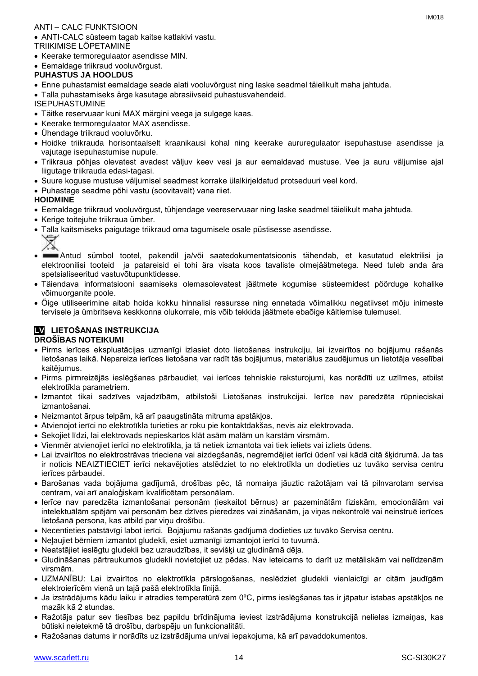## ANTI – CALC FUNKTSIOON

ANTI-CALC süsteem tagab kaitse katlakivi vastu.

TRIIKIMISE LÕPETAMINE

• Keerake termoregulaator asendisse MIN.

Eemaldage triikraud vooluvõrgust.

## **PUHASTUS JA HOOLDUS**

- Enne puhastamist eemaldage seade alati vooluvõrgust ning laske seadmel täielikult maha jahtuda.
- Talla puhastamiseks ärge kasutage abrasiivseid puhastusvahendeid.

ISEPUHASTUMINE

- Täitke reservuaar kuni MAX märgini veega ja sulgege kaas.
- Keerake termoregulaator MAX asendisse.
- Ühendage triikraud vooluvõrku.
- Hoidke triikrauda horisontaalselt kraanikausi kohal ning keerake aururegulaator isepuhastuse asendisse ja vajutage isepuhastumise nupule.
- Triikraua põhjas olevatest avadest väljuv keev vesi ja aur eemaldavad mustuse. Vee ja auru väljumise ajal liigutage triikrauda edasi-tagasi.
- Suure koguse mustuse väljumisel seadmest korrake ülalkirjeldatud protseduuri veel kord.
- Puhastage seadme põhi vastu (soovitavalt) vana riiet.

## **HOIDMINE**

- Eemaldage triikraud vooluvõrgust, tühjendage veereservuaar ning laske seadmel täielikult maha jahtuda.
- Kerige toitejuhe triikraua ümber.
- Talla kaitsmiseks paigutage triikraud oma tagumisele osale püstisesse asendisse. ∀
- Antud sümbol tootel, pakendil ja/või saatedokumentatsioonis tähendab, et kasutatud elektrilisi ja elektroonilisi tooteid ja patareisid ei tohi ära visata koos tavaliste olmejäätmetega. Need tuleb anda ära spetsialiseeritud vastuvõtupunktidesse.
- Täiendava informatsiooni saamiseks olemasolevatest jäätmete kogumise süsteemidest pöörduge kohalike võimuorganite poole.
- Õige utiliseerimine aitab hoida kokku hinnalisi ressursse ning ennetada võimalikku negatiivset mõju inimeste tervisele ja ümbritseva keskkonna olukorrale, mis võib tekkida jäätmete ebaõige käitlemise tulemusel.

#### **LV LIETOŠANAS INSTRUKCIJA DROŠĪBAS NOTEIKUMI**

- Pirms ierīces ekspluatācijas uzmanīgi izlasiet doto lietošanas instrukciju, lai izvairītos no bojājumu rašanās lietošanas laikā. Nepareiza ierīces lietošana var radīt tās bojājumus, materiālus zaudējumus un lietotāja veselībai kaitējumus.
- Pirms pirmreizējās ieslēgšanas pārbaudiet, vai ierīces tehniskie raksturojumi, kas norādīti uz uzlīmes, atbilst elektrotīkla parametriem.
- Izmantot tikai sadzīves vajadzībām, atbilstoši Lietošanas instrukcijai. Ierīce nav paredzēta rūpnieciskai izmantošanai.
- Neizmantot ārpus telpām, kā arī paaugstināta mitruma apstākļos.
- Atvienojot ierīci no elektrotīkla turieties ar roku pie kontaktdakšas, nevis aiz elektrovada.
- Sekojiet līdzi, lai elektrovads nepieskartos klāt asām malām un karstām virsmām.
- Vienmēr atvienojiet ierīci no elektrotīkla, ja tā netiek izmantota vai tiek ieliets vai izliets ūdens.
- Lai izvairītos no elektrostrāvas trieciena vai aizdegšanās, negremdējiet ierīci ūdenī vai kādā citā šķidrumā. Ja tas ir noticis NEAIZTIECIET ierīci nekavējoties atslēdziet to no elektrotīkla un dodieties uz tuvāko servisa centru ierīces pārbaudei.
- Barošanas vada bojājuma gadījumā, drošības pēc, tā nomaiņa jāuztic ražotājam vai tā pilnvarotam servisa centram, vai arī analoģiskam kvalificētam personālam.
- Ierīce nav paredzēta izmantošanai personām (ieskaitot bērnus) ar pazeminātām fiziskām, emocionālām vai intelektuālām spējām vai personām bez dzīves pieredzes vai zināšanām, ja viņas nekontrolē vai neinstruē ierīces lietošanā persona, kas atbild par viņu drošību.
- Necentieties patstāvīgi labot ierīci. Bojājumu rašanās gadījumā dodieties uz tuvāko Servisa centru.
- Neļaujiet bērniem izmantot gludekli, esiet uzmanīgi izmantojot ierīci to tuvumā.
- Neatstājiet ieslēgtu gludekli bez uzraudzības, it sevišķi uz gludināmā dēļa.
- Gludināšanas pārtraukumos gludekli novietojiet uz pēdas. Nav ieteicams to darīt uz metāliskām vai nelīdzenām virsmām.
- UZMANĪBU: Lai izvairītos no elektrotīkla pārslogošanas, neslēdziet gludekli vienlaicīgi ar citām jaudīgām elektroierīcēm vienā un tajā pašā elektrotīkla līnijā.
- Ja izstrādājums kādu laiku ir atradies temperatūrā zem 0ºC, pirms ieslēgšanas tas ir jāpatur istabas apstākļos ne mazāk kā 2 stundas.
- Ražotājs patur sev tiesības bez papildu brīdinājuma ieviest izstrādājuma konstrukcijā nelielas izmaiņas, kas būtiski neietekmē tā drošību, darbspēju un funkcionalitāti.
- Ražošanas datums ir norādīts uz izstrādājuma un/vai iepakojuma, kā arī pavaddokumentos.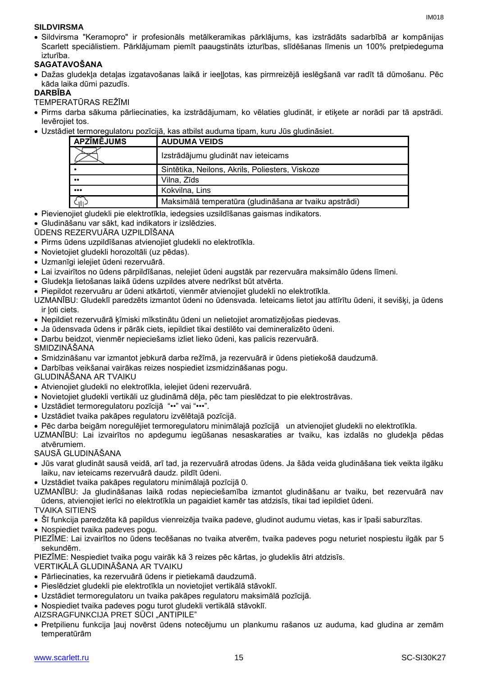## **SILDVIRSMA**

 Sildvirsma "Keramopro" ir profesionāls metālkeramikas pārklājums, kas izstrādāts sadarbībā ar kompānijas Scarlett speciālistiem. Pārklājumam piemīt paaugstināts izturības, slīdēšanas līmenis un 100% pretpiedeguma izturība.

## **SAGATAVOŠANA**

 Dažas gludekļa detaļas izgatavošanas laikā ir ieeļļotas, kas pirmreizējā ieslēgšanā var radīt tā dūmošanu. Pēc kāda laika dūmi pazudīs.

## **DARBĪBA**

TEMPERATŪRAS REŽĪMI

- Pirms darba sākuma pārliecinaties, ka izstrādājumam, ko vēlaties gludināt, ir etiķete ar norādi par tā apstrādi. Ievērojiet tos.
- Uzstādiet termoregulatoru pozīcijā, kas atbilst auduma tipam, kuru Jūs gludināsiet.

| <b>APZĪMĒJUMS</b>       | <b>AUDUMA VEIDS</b>                                    |
|-------------------------|--------------------------------------------------------|
|                         | Izstrādājumu gludināt nav ieteicams                    |
|                         | Sintētika, Neilons, Akrils, Poliesters, Viskoze        |
| $\bullet\bullet$        | Vilna, Zīds                                            |
| $\bullet\bullet\bullet$ | Kokvilna, Lins                                         |
|                         | Maksimālā temperatūra (gludināšana ar tvaiku apstrādi) |

- Pievienojiet gludekli pie elektrotīkla, iedegsies uzsildīšanas gaismas indikators.
- Gludināšanu var sākt, kad indikators ir izslēdzies.
- ŪDENS REZERVUĀRA UZPILDĪŠANA
- Pirms ūdens uzpildīšanas atvienojiet gludekli no elektrotīkla.
- Novietojiet gludekli horozoltāli (uz pēdas).
- Uzmanīgi ielejiet ūdeni rezervuārā.
- Lai izvairītos no ūdens pārpildīšanas, nelejiet ūdeni augstāk par rezervuāra maksimālo ūdens līmeni.
- Gludekļa lietošanas laikā ūdens uzpildes atvere nedrīkst būt atvērta.
- Piepildot rezervuāru ar ūdeni atkārtoti, vienmēr atvienojiet gludekli no elektrotīkla.

UZMANĪBU: Gludeklī paredzēts izmantot ūdeni no ūdensvada. Ieteicams lietot jau attīrītu ūdeni, it sevišķi, ja ūdens ir ļoti ciets.

- Nepildiet rezervuārā ķīmiski mīkstinātu ūdeni un nelietojiet aromatizējošas piedevas.
- Ja ūdensvada ūdens ir pārāk ciets, iepildiet tikai destilēto vai demineralizēto ūdeni.
- Darbu beidzot, vienmēr nepieciešams izliet lieko ūdeni, kas palicis rezervuārā.
- SMIDZINĀŠANA
- Smidzināšanu var izmantot jebkurā darba režīmā, ja rezervuārā ir ūdens pietiekošā daudzumā.
- Darbības veikšanai vairākas reizes nospiediet izsmidzināšanas pogu.
- GLUDINĀŠANA AR TVAIKU
- Atvienojiet gludekli no elektrotīkla, ielejiet ūdeni rezervuārā.
- Novietojiet gludekli vertikāli uz gludināmā dēļa, pēc tam pieslēdzat to pie elektrostrāvas.
- Uzstādiet termoregulatoru pozīcijā "••" vai "•••".
- Uzstādiet tvaika pakāpes regulatoru izvēlētajā pozīcijā.
- Pēc darba beigām noregulējiet termoregulatoru minimālajā pozīcijā un atvienojiet gludekli no elektrotīkla.
- UZMANĪBU: Lai izvairītos no apdegumu iegūšanas nesaskaraties ar tvaiku, kas izdalās no gludekļa pēdas atvērumiem.

SAUSĀ GLUDINĀŠANA

- Jūs varat gludināt sausā veidā, arī tad, ja rezervuārā atrodas ūdens. Ja šāda veida gludināšana tiek veikta ilgāku laiku, nav ieteicams rezervuārā daudz. pildīt ūdeni.
- Uzstādiet tvaika pakāpes regulatoru minimālajā pozīcijā 0.
- UZMANĪBU: Ja gludināšanas laikā rodas nepieciešamība izmantot gludināšanu ar tvaiku, bet rezervuārā nav ūdens, atvienojiet ierīci no elektrotīkla un pagaidiet kamēr tas atdzisīs, tikai tad iepildiet ūdeni.

## TVAIKA SITIENS

- Šī funkcija paredzēta kā papildus vienreizēja tvaika padeve, gludinot audumu vietas, kas ir īpaši saburzītas.
- Nospiediet tvaika padeves pogu.

PIEZĪME: Lai izvairītos no ūdens tecēšanas no tvaika atverēm, tvaika padeves pogu neturiet nospiestu ilgāk par 5 sekundēm.

PIEZĪME: Nespiediet tvaika pogu vairāk kā 3 reizes pēc kārtas, jo gludeklis ātri atdzisīs.

VERTIKĀLĀ GLUDINĀŠANA AR TVAIKU

- Pārliecinaties, ka rezervuārā ūdens ir pietiekamā daudzumā.
- Pieslēdziet gludekli pie elektrotīkla un novietojiet vertikālā stāvoklī.
- Uzstādiet termoregulatoru un tvaika pakāpes regulatoru maksimālā pozīcijā.
- Nospiediet tvaika padeves pogu turot gludekli vertikālā stāvoklī.
- AIZSRAGFUNKCIJA PRET SŪCI "ANTIPILE"
- Pretpilienu funkcija ļauj novērst ūdens notecējumu un plankumu rašanos uz auduma, kad gludina ar zemām temperatūrām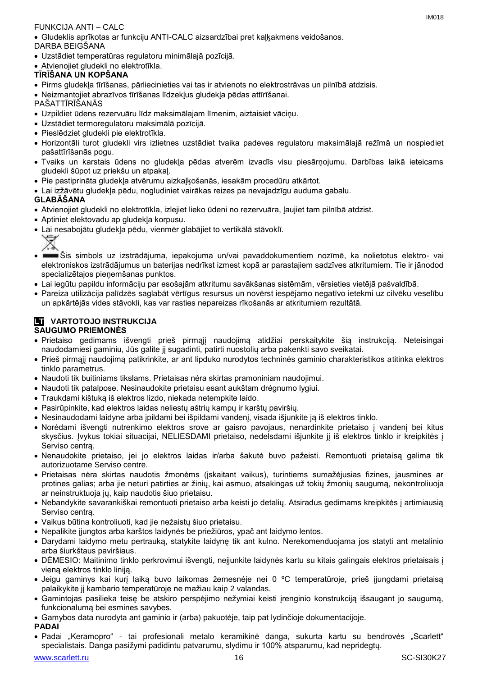## FUNKCIJA ANTI – CALC

 Gludeklis aprīkotas ar funkciju ANTI-CALC aizsardzībai pret kaļķakmens veidošanos. DARBA BEIGŠANA

- Uzstādiet temperatūras regulatoru minimālajā pozīcijā.
- Atvienojiet gludekli no elektrotīkla.

## **TĪRĪŠANA UN KOPŠANA**

- Pirms gludekļa tīrīšanas, pārliecinieties vai tas ir atvienots no elektrostrāvas un pilnībā atdzisis.
- Neizmantojiet abrazīvos tīrīšanas līdzekļus gludekļa pēdas attīrīšanai.

PAŠATTĪRĪŠANĀS

- Uzpildiet ūdens rezervuāru līdz maksimālajam līmenim, aiztaisiet vāciņu.
- Uzstādiet termoregulatoru maksimālā pozīcijā.
- Pieslēdziet gludekli pie elektrotīkla.
- Horizontāli turot gludekli virs izlietnes uzstādiet tvaika padeves regulatoru maksimālajā režīmā un nospiediet pašattīrīšanās pogu.
- Tvaiks un karstais ūdens no gludekļa pēdas atverēm izvadīs visu piesārņojumu. Darbības laikā ieteicams gludekli šūpot uz priekšu un atpakaļ.
- Pie pastiprināta gludekļa atvērumu aizkaļķošanās, iesakām procedūru atkārtot.
- Lai izžāvētu gludekļa pēdu, nogludiniet vairākas reizes pa nevajadzīgu auduma gabalu.

## **GLABĀŠANA**

- Atvienojiet gludekli no elektrotīkla, izlejiet lieko ūdeni no rezervuāra, ļaujiet tam pilnībā atdzist.
- Aptiniet elektovadu ap gludekļa korpusu.
- Lai nesabojātu gludekļa pēdu, vienmēr glabājiet to vertikālā stāvoklī.

∀

- Šis simbols uz izstrādājuma, iepakojuma un/vai pavaddokumentiem nozīmē, ka nolietotus elektro- vai elektroniskos izstrādājumus un baterijas nedrīkst izmest kopā ar parastajiem sadzīves atkritumiem. Tie ir jānodod specializētajos pieņemšanas punktos.
- Lai iegūtu papildu informāciju par esošajām atkritumu savākšanas sistēmām, vērsieties vietējā pašvaldībā.
- Pareiza utilizācija palīdzēs saglabāt vērtīgus resursus un novērst iespējamo negatīvo ietekmi uz cilvēku veselību un apkārtējās vides stāvokli, kas var rasties nepareizas rīkošanās ar atkritumiem rezultātā.

#### **LT** VARTOTOJO INSTRUKCIJA **SAUGUMO PRIEMONĖS**

- Prietaiso gedimams išvengti prieš pirmąjį naudojimą atidžiai perskaitykite šią instrukciją. Neteisingai naudodamiesi gaminiu, Jūs galite jį sugadinti, patirti nuostolių arba pakenkti savo sveikatai.
- Prieš pirmąjį naudojimą patikrinkite, ar ant lipduko nurodytos techninės gaminio charakteristikos atitinka elektros tinklo parametrus.
- Naudoti tik buitiniams tikslams. Prietaisas nėra skirtas pramoniniam naudojimui.
- Naudoti tik patalpose. Nesinaudokite prietaisu esant aukštam drėgnumo lygiui.
- Traukdami kištuką iš elektros lizdo, niekada netempkite laido.
- Pasirūpinkite, kad elektros laidas neliestų aštrių kampų ir karštų paviršių.
- Nesinaudodami laidyne arba įpildami bei išpildami vandenį, visada išjunkite ją iš elektros tinklo.
- Norėdami išvengti nutrenkimo elektros srove ar gaisro pavojaus, nenardinkite prietaiso į vandenį bei kitus skysčius. Įvykus tokiai situacijai, NELIESDAMI prietaiso, nedelsdami išjunkite jį iš elektros tinklo ir kreipkitės į Serviso centrą.
- Nenaudokite prietaiso, jei jo elektros laidas ir/arba šakutė buvo pažeisti. Remontuoti prietaisą galima tik autorizuotame Serviso centre.
- Prietaisas nėra skirtas naudotis žmonėms (įskaitant vaikus), turintiems sumažėjusias fizines, jausmines ar protines galias; arba jie neturi patirties ar žinių, kai asmuo, atsakingas už tokių žmonių saugumą, nekontroliuoja ar neinstruktuoja jų, kaip naudotis šiuo prietaisu.
- Nebandykite savarankiškai remontuoti prietaiso arba keisti jo detalių. Atsiradus gedimams kreipkitės į artimiausią Serviso centrą.
- Vaikus būtina kontroliuoti, kad jie nežaistų šiuo prietaisu.
- Nepalikite įjungtos arba karštos laidynės be priežiūros, ypač ant laidymo lentos.
- Darydami laidymo metu pertrauką, statykite laidynę tik ant kulno. Nerekomenduojama jos statyti ant metalinio arba šiurkštaus paviršiaus.
- DĖMESIO: Maitinimo tinklo perkrovimui išvengti, neįjunkite laidynės kartu su kitais galingais elektros prietaisais į vieną elektros tinklo liniją.
- Jeigu gaminys kai kurį laiką buvo laikomas žemesnėje nei 0 ºC temperatūroje, prieš įjungdami prietaisą palaikykite jį kambario temperatūroje ne mažiau kaip 2 valandas.
- Gamintojas pasilieka teisę be atskiro perspėjimo nežymiai keisti įrenginio konstrukciją išsaugant jo saugumą, funkcionalumą bei esmines savybes.
- Gamybos data nurodyta ant gaminio ir (arba) pakuotėje, taip pat lydinčioje dokumentacijoje.
- **PADAI**
- Padai "Keramopro" tai profesionali metalo keramikinė danga, sukurta kartu su bendrovės "Scarlett" specialistais. Danga pasižymi padidintu patvarumu, slydimu ir 100% atsparumu, kad nepridegtų.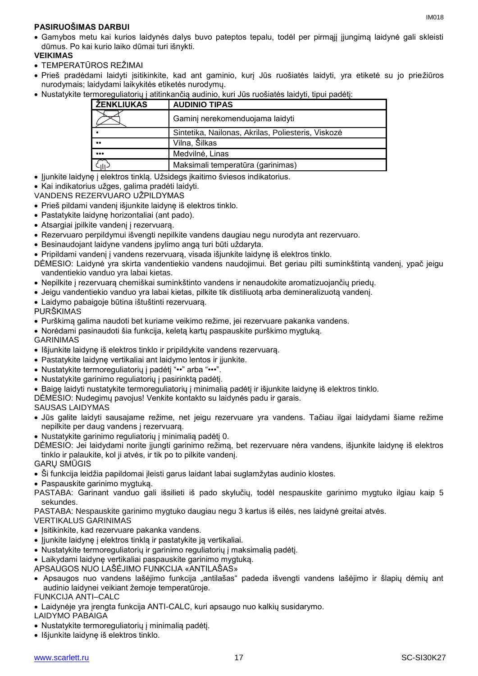Gamybos metu kai kurios laidynės dalys buvo pateptos tepalu, todėl per pirmąjį įjungimą laidynė gali skleisti dūmus. Po kai kurio laiko dūmai turi išnykti.

## **VEIKIMAS**

- TEMPERATŪROS REŽIMAI
- Prieš pradėdami laidyti įsitikinkite, kad ant gaminio, kurį Jūs ruošiatės laidyti, yra etiketė su jo priežiūros nurodymais; laidydami laikykitės etiketės nurodymų.
- Nustatykite termoreguliatorių į atitinkančią audinio, kuri Jūs ruošiatės laidyti, tipui padėtį:

| I ŽENKLIUKAS            | <b>AUDINIO TIPAS</b>                               |
|-------------------------|----------------------------------------------------|
|                         | Gaminj nerekomenduojama laidyti                    |
|                         | Sintetika, Nailonas, Akrilas, Poliesteris, Viskozė |
| $^{\bullet}$            | Vilna, Šilkas                                      |
| $\bullet\bullet\bullet$ | Medvilnė, Linas                                    |
| $c_{\parallel}$         | Maksimali temperatūra (garinimas)                  |

- Jjunkite laidynę į elektros tinklą. Užsidegs įkaitimo šviesos indikatorius.
- Kai indikatorius užges, galima pradėti laidyti.
- VANDENS REZERVUARO UŽPILDYMAS
- Prieš pildami vandenį išjunkite laidynę iš elektros tinklo.
- Pastatykite laidynę horizontaliai (ant pado).
- Atsargiai įpilkite vandenį į rezervuarą.
- Rezervuaro perpildymui išvengti nepilkite vandens daugiau negu nurodyta ant rezervuaro.
- Besinaudojant laidyne vandens įpylimo angą turi būti uždaryta.
- Pripildami vandenį į vandens rezervuarą, visada išjunkite laidynę iš elektros tinklo.
- DĖMESIO: Laidynė yra skirta vandentiekio vandens naudojimui. Bet geriau pilti suminkštintą vandenį, ypač jeigu vandentiekio vanduo yra labai kietas.
- Nepilkite į rezervuarą chemiškai suminkštinto vandens ir nenaudokite aromatizuojančių priedų.
- Jeigu vandentiekio vanduo yra labai kietas, pilkite tik distiliuotą arba demineralizuotą vandenį.
- Laidymo pabaigoje būtina ištuštinti rezervuarą.
- PURŠKIMAS
- Purškimą galima naudoti bet kuriame veikimo režime, jei rezervuare pakanka vandens.
- Norėdami pasinaudoti šia funkcija, keletą kartų paspauskite purškimo mygtuką.
- GARINIMAS
- Išjunkite laidynę iš elektros tinklo ir pripildykite vandens rezervuarą.
- Pastatykite laidynę vertikaliai ant laidymo lentos ir įjunkite.
- Nustatykite termoreguliatorių į padėtį "••" arba "•••".
- Nustatykite garinimo reguliatorių į pasirinktą padėtį.
- Baigę laidyti nustatykite termoreguliatorių į minimalią padėtį ir išjunkite laidynę iš elektros tinklo.
- DĖMESIO: Nudegimų pavojus! Venkite kontakto su laidynės padu ir garais.
- SAUSAS LAIDYMAS
- Jūs galite laidyti sausajame režime, net jeigu rezervuare yra vandens. Tačiau ilgai laidydami šiame režime nepilkite per daug vandens į rezervuarą.
- Nustatykite garinimo reguliatorių į minimalią padėtį 0.
- DĖMESIO: Jei laidydami norite įjungti garinimo režimą, bet rezervuare nėra vandens, išjunkite laidynę iš elektros tinklo ir palaukite, kol ji atvės, ir tik po to pilkite vandenį.
- GARŲ SMŪGIS
- Ši funkcija leidžia papildomai įleisti garus laidant labai suglamžytas audinio klostes.
- Paspauskite garinimo mygtuką.
- PASTABA: Garinant vanduo gali išsilieti iš pado skylučių, todėl nespauskite garinimo mygtuko ilgiau kaip 5 sekundes.

PASTABA: Nespauskite garinimo mygtuko daugiau negu 3 kartus iš eilės, nes laidynė greitai atvės.

- VERTIKALUS GARINIMAS
- Isitikinkite, kad rezervuare pakanka vandens.
- Jjunkite laidynę į elektros tinklą ir pastatykite ją vertikaliai.
- Nustatykite termoreguliatorių ir garinimo reguliatorių į maksimalią padėtį.
- Laikydami laidynę vertikaliai paspauskite garinimo mygtuką.

APSAUGOS NUO LAŠĖJIMO FUNKCIJA «ANTILAŠAS»

 Apsaugos nuo vandens lašėjimo funkcija "antilašas" padeda išvengti vandens lašėjimo ir šlapių dėmių ant audinio laidynei veikiant žemoje temperatūroje.

FUNKCIJA ANTI–CALC

Laidynėje yra įrengta funkcija ANTI-CALC, kuri apsaugo nuo kalkių susidarymo.

LAIDYMO PABAIGA

- Nustatykite termoreguliatorių į minimalią padėtį.
- Išjunkite laidynę iš elektros tinklo.

IM<sub>018</sub>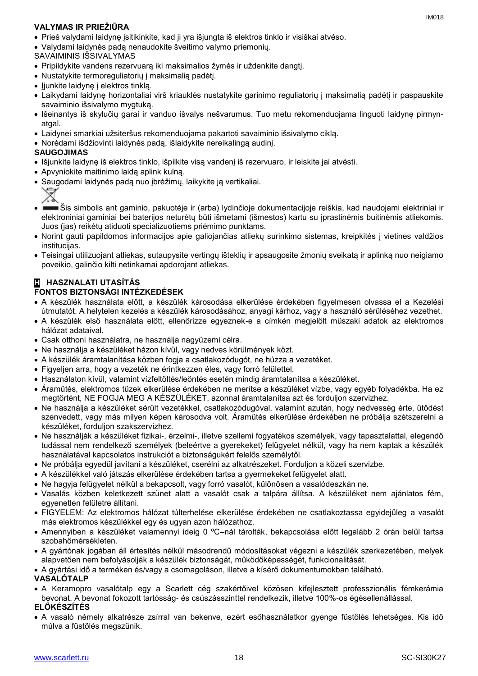## **VALYMAS IR PRIEŽIŪRA**

- Prieš valydami laidynę įsitikinkite, kad ji yra išjungta iš elektros tinklo ir visiškai atvėso.
- Valydami laidynės padą nenaudokite šveitimo valymo priemonių.
- SAVAIMINIS IŠSIVALYMAS
- Pripildykite vandens rezervuarą iki maksimalios žymės ir uždenkite dangtį.
- Nustatykite termoreguliatorių į maksimalią padėtį.
- ljunkite laidyne į elektros tinklą.
- Laikydami laidynę horizontaliai virš kriauklės nustatykite garinimo reguliatorių į maksimalią padėtį ir paspauskite savaiminio išsivalymo mygtuką.
- Išeinantys iš skylučių garai ir vanduo išvalys nešvarumus. Tuo metu rekomenduojama linguoti laidynę pirmynatgal.
- Laidynei smarkiai užsiteršus rekomenduojama pakartoti savaiminio išsivalymo ciklą.
- Norėdami išdžiovinti laidynės padą, išlaidykite nereikalingą audinį.

#### **SAUGOJIMAS**

- Išjunkite laidynę iš elektros tinklo, išpilkite visą vandenį iš rezervuaro, ir leiskite jai atvėsti.
- Apvyniokite maitinimo laidą aplink kulną.
- Saugodami laidynės padą nuo įbrėžimų, laikykite ją vertikaliai.



- Šis simbolis ant gaminio, pakuotėje ir (arba) lydinčioje dokumentacijoje reiškia, kad naudojami elektriniai ir elektroniniai gaminiai bei baterijos neturėtų būti išmetami (išmestos) kartu su įprastinėmis buitinėmis atliekomis. Juos (jas) reikėtų atiduoti specializuotiems priėmimo punktams.
- Norint gauti papildomos informacijos apie galiojančias atliekų surinkimo sistemas, kreipkitės į vietines valdžios institucijas.
- Teisingai utilizuojant atliekas, sutaupysite vertingų išteklių ir apsaugosite žmonių sveikatą ir aplinką nuo neigiamo poveikio, galinčio kilti netinkamai apdorojant atliekas.

#### **H HASZNALATI UTASÍTÁS FONTOS BIZTONSÁGI INTÉZKEDÉSEK**

- A készülék használata előtt, a készülék károsodása elkerülése érdekében figyelmesen olvassa el a Kezelési útmutatót. A helytelen kezelés a készülék károsodásához, anyagi kárhoz, vagy a használó sérüléséhez vezethet.
- A készülék első használata előtt, ellenőrizze egyeznek-e a címkén megjelölt műszaki adatok az elektromos hálózat adataival.
- Csak otthoni használatra, ne használja nagyüzemi célra.
- Ne használja a készüléket házon kívül, vagy nedves körülmények közt.
- A készülék áramtalanítása közben fogja a csatlakozódugót, ne húzza a vezetéket.
- Figyeljen arra, hogy a vezeték ne érintkezzen éles, vagy forró felülettel.
- Használaton kívül, valamint vízfeltöltés/leöntés esetén mindig áramtalanítsa a készüléket.
- Áramütés, elektromos tüzek elkerülése érdekében ne merítse a készüléket vízbe, vagy egyéb folyadékba. Ha ez megtörtént, NE FOGJA MEG A KÉSZÜLÉKET, azonnal áramtalanítsa azt és forduljon szervizhez.
- Ne használja a készüléket sérült vezetékkel, csatlakozódugóval, valamint azután, hogy nedvesség érte, ütődést szenvedett, vagy más milyen képen károsodva volt. Áramütés elkerülése érdekében ne próbálja szétszerelni a készüléket, forduljon szakszervizhez.
- Ne használják a készüléket fizikai-, érzelmi-, illetve szellemi fogyatékos személyek, vagy tapasztalattal, elegendő tudással nem rendelkező személyek (beleértve a gyerekeket) felügyelet nélkül, vagy ha nem kaptak a készülék használatával kapcsolatos instrukciót a biztonságukért felelős személytől.
- Ne próbálja egyedül javítani a készüléket, cserélni az alkatrészeket. Forduljon a közeli szervizbe.
- A készülékkel való játszás elkerülése érdekében tartsa a gyermekeket felügyelet alatt.
- Ne hagyja felügyelet nélkül a bekapcsolt, vagy forró vasalót, különösen a vasalódeszkán ne.
- Vasalás közben keletkezett szünet alatt a vasalót csak a talpára állítsa. A készüléket nem ajánlatos fém, egyenetlen felületre állítani.
- FIGYELEM: Az elektromos hálózat túlterhelése elkerülése érdekében ne csatlakoztassa egyidejűleg a vasalót más elektromos készülékkel egy és ugyan azon hálózathoz.
- Amennyiben a készüléket valamennyi ideig 0 ºC–nál tárolták, bekapcsolása előtt legalább 2 órán belül tartsa szobahőmérsékleten.
- A gyártónak jogában áll értesítés nélkül másodrendű módosításokat végezni a készülék szerkezetében, melyek alapvetően nem befolyásolják a készülék biztonságát, működőképességét, funkcionalitását.
- A gyártási idő a terméken és/vagy a csomagoláson, illetve a kísérő dokumentumokban található.

#### **VASALÓTALP**

 A Keramopro vasalótalp egy a Scarlett cég szakértőivel közösen kifejlesztett professzionális fémkerámia bevonat. A bevonat fokozott tartósság- és csúszásszinttel rendelkezik, illetve 100%-os égésellenállással.

## **ELŐKÉSZÍTÉS**

 A vasaló némely alkatrésze zsírral van bekenve, ezért esőhasználatkor gyenge füstölés lehetséges. Kis idő múlva a füstölés megszűnik.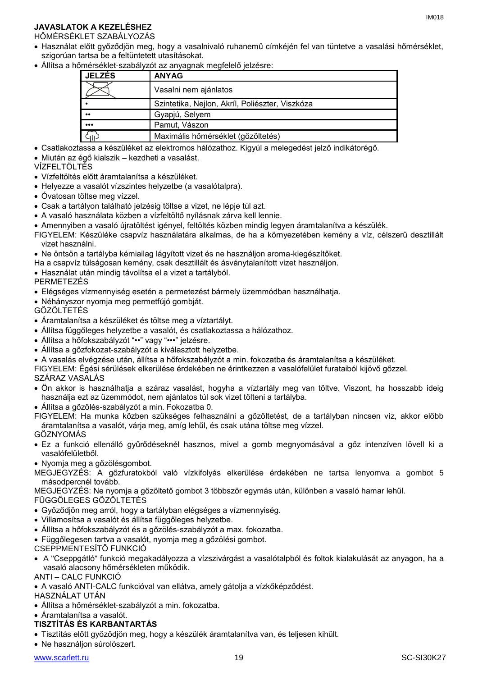## **JAVASLATOK A KEZELÉSHEZ**

HŐMÉRSÉKLET SZABÁLYOZÁS

- Használat előtt győződjön meg, hogy a vasalnivaló ruhanemű címkéjén fel van tüntetve a vasalási hőmérséklet, szigorúan tartsa be a feltüntetett utasításokat.
- Állítsa a hőmérséklet-szabályzót az anyagnak megfelelő jelzésre:

| <b>JELZÉS</b>           | <b>ANYAG</b>                                    |
|-------------------------|-------------------------------------------------|
|                         | Vasalni nem ajánlatos                           |
|                         | Szintetika, Nejlon, Akríl, Poliészter, Viszkóza |
| $\bullet\bullet$        | Gyapjú, Selyem                                  |
| $\bullet\bullet\bullet$ | Pamut, Vászon                                   |
|                         | Maximális hőmérséklet (gőzöltetés)              |

- Csatlakoztassa a készüléket az elektromos hálózathoz. Kigyúl a melegedést jelző indikátorégő.
- Miután az égő kialszik kezdheti a vasalást.

VÍZFELTÖLTÉS

- Vízfeltöltés előtt áramtalanítsa a készüléket.
- Helyezze a vasalót vízszintes helyzetbe (a vasalótalpra).
- Óvatosan töltse meg vízzel.
- Csak a tartályon található jelzésig töltse a vizet, ne lépje túl azt.
- A vasaló használata közben a vízfeltöltő nyílásnak zárva kell lennie.
- Amennyiben a vasaló újratöltést igényel, feltöltés közben mindig legyen áramtalanítva a készülék.
- FIGYELEM: Készüléke csapvíz használatára alkalmas, de ha a környezetében kemény a víz, célszerű desztillált vizet használni.
- Ne öntsön a tartályba kémiailag lágyított vizet és ne használjon aroma-kiegészítőket.
- Ha a csapvíz túlságosan kemény, csak desztillált és ásványtalanított vizet használjon.
- Használat után mindig távolítsa el a vizet a tartályból.

PERMETEZÉS

- Elégséges vízmennyiség esetén a permetezést bármely üzemmódban használhatja.
- Néhányszor nyomja meg permetfújó gombját.

GŐZÖLTETÉS

- Áramtalanítsa a készüléket és töltse meg a víztartályt.
- Állítsa függőleges helyzetbe a vasalót, és csatlakoztassa a hálózathoz.
- Állítsa a hőfokszabályzót "••" vagy "•••" jelzésre.
- Állítsa a gőzfokozat-szabályzót a kiválasztott helyzetbe.
- A vasalás elvégzése után, állítsa a hőfokszabályzót a min. fokozatba és áramtalanítsa a készüléket.

FIGYELEM: Égési sérülések elkerülése érdekében ne érintkezzen a vasalófelület furataiból kijövő gőzzel.

SZÁRAZ VASALÁS

 Ön akkor is használhatja a száraz vasalást, hogyha a víztartály meg van töltve. Viszont, ha hosszabb ideig használja ezt az üzemmódot, nem ajánlatos túl sok vizet tölteni a tartályba.

Állítsa a gőzölés-szabályzót a min. Fokozatba 0.

FIGYELEM: Ha munka közben szükséges felhasználni a gőzöltetést, de a tartályban nincsen víz, akkor előbb áramtalanítsa a vasalót, várja meg, amíg lehűl, és csak utána töltse meg vízzel.

GŐZNYOMÁS

 Ez a funkció ellenálló gyűrődéseknél hasznos, mivel a gomb megnyomásával a gőz intenzíven lövell ki a vasalófelületből.

Nyomja meg a gőzölésgombot.

MEGJEGYZÉS: A gőzfuratokból való vízkifolyás elkerülése érdekében ne tartsa lenyomva a gombot 5 másodpercnél tovább.

MEGJEGYZÉS: Ne nyomja a gőzöltető gombot 3 többször egymás után, különben a vasaló hamar lehűl.

#### FÜGGŐLEGES GŐZÖLTETÉS

- Győződjön meg arról, hogy a tartályban elégséges a vízmennyiség.
- Villamosítsa a vasalót és állítsa függőleges helyzetbe.
- Állítsa a hőfokszabályzót és a gőzölés-szabályzót a max. fokozatba.
- Függőlegesen tartva a vasalót, nyomja meg a gőzölési gombot.
- CSEPPMENTESÍTŐ FUNKCIÓ
- A "Cseppgátló" funkció megakadályozza a vízszivárgást a vasalótalpból és foltok kialakulását az anyagon, ha a vasaló alacsony hőmérsékleten működik.

ANTI – CALC FUNKCIÓ

A vasaló ANTI-CALC funkcióval van ellátva, amely gátolja a vízkőképződést.

HASZNÁLAT UTÁN

- Állítsa a hőmérséklet-szabályzót a min. fokozatba.
- Áramtalanítsa a vasalót.

#### **TISZTÍTÁS ÉS KARBANTARTÁS**

- Tisztítás előtt győződjön meg, hogy a készülék áramtalanítva van, és teljesen kihűlt.
- Ne használjon súrolószert.

IM018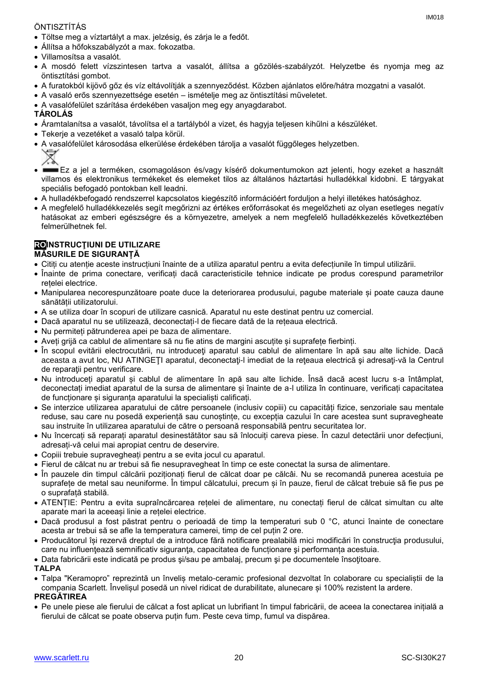## ÖNTISZTÍTÁS

- Töltse meg a víztartályt a max. jelzésig, és zárja le a fedőt.
- Állítsa a hőfokszabályzót a max. fokozatba.
- Villamosítsa a vasalót.
- A mosdó felett vízszintesen tartva a vasalót, állítsa a gőzölés-szabályzót. Helyzetbe és nyomja meg az öntisztítási gombot.
- A furatokból kijövő gőz és víz eltávolítják a szennyeződést. Közben ajánlatos előre/hátra mozgatni a vasalót.
- A vasaló erős szennyezettsége esetén ismételje meg az öntisztítási műveletet.
- A vasalófelület szárítása érdekében vasaljon meg egy anyagdarabot.

## **TÁROLÁS**

- Áramtalanítsa a vasalót, távolítsa el a tartályból a vizet, és hagyja teljesen kihűlni a készüléket.
- Tekerje a vezetéket a vasaló talpa körül.
- A vasalófelület károsodása elkerülése érdekében tárolja a vasalót függőleges helyzetben.

- Ez a jel a terméken, csomagoláson és/vagy kísérő dokumentumokon azt jelenti, hogy ezeket a használt villamos és elektronikus termékeket és elemeket tilos az általános háztartási hulladékkal kidobni. E tárgyakat speciális befogadó pontokban kell leadni.
- A hulladékbefogadó rendszerrel kapcsolatos kiegészítő információért forduljon a helyi illetékes hatósághoz.
- A megfelelő hulladékkezelés segít megőrizni az értékes erőforrásokat és megelőzheti az olyan esetleges negatív hatásokat az emberi egészségre és a környezetre, amelyek a nem megfelelő hulladékkezelés következtében felmerülhetnek fel.

## **ROINSTRUCŢIUNI DE UTILIZARE**

## **MĂSURILE DE SIGURANȚĂ**

- Citiți cu atenție aceste instrucțiuni înainte de a utiliza aparatul pentru a evita defecțiunile în timpul utilizării.
- Înainte de prima conectare, verificați dacă caracteristicile tehnice indicate pe produs corespund parametrilor rețelei electrice.
- Manipularea necorespunzătoare poate duce la deteriorarea produsului, pagube materiale și poate cauza daune sănătății utilizatorului.
- A se utiliza doar în scopuri de utilizare casnică. Aparatul nu este destinat pentru uz comercial.
- Dacă aparatul nu se utilizează, deconectați-l de fiecare dată de la rețeaua electrică.
- Nu permiteți pătrunderea apei pe baza de alimentare.
- Aveți grijă ca cablul de alimentare să nu fie atins de margini ascuțite și suprafețe fierbinți.
- În scopul evitării electrocutării, nu introduceți aparatul sau cablul de alimentare în apă sau alte lichide. Dacă aceasta a avut loc, NU ATINGEŢI aparatul, deconectaţi-l imediat de la reţeaua electrică şi adresaţi-vă la Centrul de reparatii pentru verificare.
- Nu introduceți aparatul și cablul de alimentare în apă sau alte lichide. Însă dacă acest lucru s-a întâmplat, deconectați imediat aparatul de la sursa de alimentare și înainte de a-l utiliza în continuare, verificați capacitatea de funcționare și siguranța aparatului la specialiști calificați.
- Se interzice utilizarea aparatului de către persoanele (inclusiv copiii) cu capacități fizice, senzoriale sau mentale reduse, sau care nu posedă experiență sau cunostințe, cu excepția cazului în care acestea sunt supravegheate sau instruite în utilizarea aparatului de către o persoană responsabilă pentru securitatea lor.
- Nu încercați să reparați aparatul desinestătător sau să înlocuiți careva piese. În cazul detectării unor defecțiuni, adresați-vă celui mai apropiat centru de deservire.
- Copiii trebuie supravegheați pentru a se evita jocul cu aparatul.
- Fierul de călcat nu ar trebui să fie nesupravegheat în timp ce este conectat la sursa de alimentare.
- În pauzele din timpul călcării poziționați fierul de călcat doar pe călcâi. Nu se recomandă punerea acestuia pe suprafețe de metal sau neuniforme. În timpul călcatului, precum și în pauze, fierul de călcat trebuie să fie pus pe o suprafață stabilă.
- ATENȚIE: Pentru a evita supraîncărcarea rețelei de alimentare, nu conectați fierul de călcat simultan cu alte aparate mari la aceeași linie a rețelei electrice.
- Dacă produsul a fost păstrat pentru o perioadă de timp la temperaturi sub 0 °C, atunci înainte de conectare acesta ar trebui să se afle la temperatura camerei, timp de cel puțin 2 ore.
- Producătorul își rezervă dreptul de a introduce fără notificare prealabilă mici modificări în construcţia produsului, care nu influențează semnificativ siguranța, capacitatea de funcționare și performanța acestuia.

• Data fabricării este indicată pe produs si/sau pe ambalai, precum și pe documentele însotitoare.

**TALPA**

 Talpa "Keramopro" reprezintă un înveliș metalo-ceramic profesional dezvoltat în colaborare cu specialiștii de la compania Scarlett. Învelișul posedă un nivel ridicat de durabilitate, alunecare și 100% rezistent la ardere.

#### **PREGĂTIREA**

 Pe unele piese ale fierului de călcat a fost aplicat un lubrifiant în timpul fabricării, de aceea la conectarea inițială a fierului de călcat se poate observa puțin fum. Peste ceva timp, fumul va dispărea.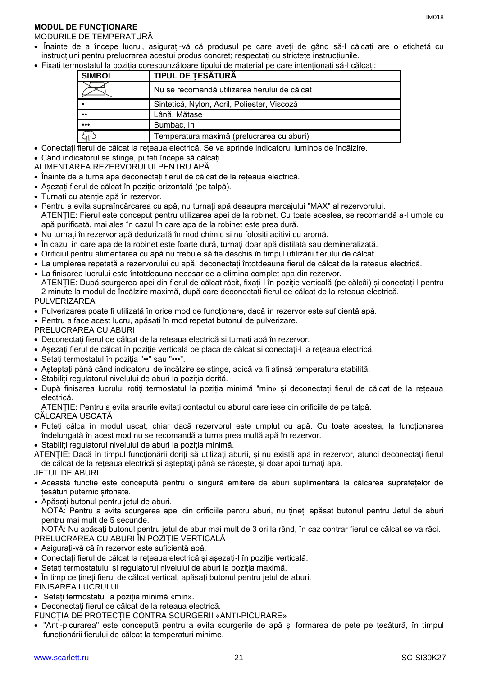## **MODUL DE FUNCȚIONARE**

## MODURILE DE TEMPERATURĂ

- Înainte de a începe lucrul, asigurați-vă că produsul pe care aveți de gând să-l călcați are o etichetă cu instrucțiuni pentru prelucrarea acestui produs concret; respectați cu strictețe instrucțiunile.
- Fixați termostatul la poziția corespunzătoare tipului de material pe care intenționați să-l călcați:

| <b>SIMBOL</b>           | <b>TIPUL DE TESĂTURĂ</b>                      |
|-------------------------|-----------------------------------------------|
|                         | Nu se recomandă utilizarea fierului de călcat |
|                         | Sintetică, Nylon, Acril, Poliester, Viscoză   |
| $\bullet\bullet$        | Lână, Mătase                                  |
| $\bullet\bullet\bullet$ | Bumbac, In                                    |
| .<br>د ال               | Temperatura maximă (prelucrarea cu aburi)     |

- Conectați fierul de călcat la rețeaua electrică. Se va aprinde indicatorul luminos de încălzire.
- Când indicatorul se stinge, puteți începe să călcați.
- ALIMENTAREA REZERVORULUI PENTRU APĂ
- Înainte de a turna apa deconectați fierul de călcat de la rețeaua electrică.
- Așezați fierul de călcat în poziție orizontală (pe talpă).
- Turnați cu atenție apă în rezervor.
- Pentru a evita supraîncărcarea cu apă, nu turnați apă deasupra marcajului "MAX" al rezervorului. ATENȚIE: Fierul este conceput pentru utilizarea apei de la robinet. Cu toate acestea, se recomandă a-l umple cu apă purificată, mai ales în cazul în care apa de la robinet este prea dură.
- Nu turnați în rezervor apă dedurizată în mod chimic și nu folosiți aditivi cu aromă.
- În cazul în care apa de la robinet este foarte dură, turnați doar apă distilată sau demineralizată.
- Orificiul pentru alimentarea cu apă nu trebuie să fie deschis în timpul utilizării fierului de călcat.
- La umplerea repetată a rezervorului cu apă, deconectați întotdeauna fierul de călcat de la rețeaua electrică.
- La finisarea lucrului este întotdeauna necesar de a elimina complet apa din rezervor. ATENȚIE: După scurgerea apei din fierul de călcat răcit, fixați-l în poziție verticală (pe călcâi) și conectați-l pentru 2 minute la modul de încălzire maximă, după care deconectați fierul de călcat de la rețeaua electrică. PULVERIZAREA
- Pulverizarea poate fi utilizată în orice mod de funcționare, dacă în rezervor este suficientă apă.
- Pentru a face acest lucru, apăsați în mod repetat butonul de pulverizare.
- PRELUCRAREA CU ABURI
- Deconectați fierul de călcat de la rețeaua electrică și turnați apă în rezervor.
- Așezați fierul de călcat în poziție verticală pe placa de călcat și conectați-l la rețeaua electrică.
- Setați termostatul în poziția "••" sau "•••".
- Așteptați până când indicatorul de încălzire se stinge, adică va fi atinsă temperatura stabilită.
- Stabiliți regulatorul nivelului de aburi la poziția dorită.
- După finisarea lucrului rotiți termostatul la poziția minimă "min» și deconectați fierul de călcat de la rețeaua electrică.

ATENȚIE: Pentru a evita arsurile evitați contactul cu aburul care iese din orificiile de pe talpă.

- CĂLCAREA USCATĂ
- Puteți călca în modul uscat, chiar dacă rezervorul este umplut cu apă. Cu toate acestea, la funcționarea îndelungată în acest mod nu se recomandă a turna prea multă apă în rezervor.
- Stabiliți regulatorul nivelului de aburi la poziția minimă.

ATENȚIE: Dacă în timpul funcționării doriți să utilizați aburii, și nu există apă în rezervor, atunci deconectați fierul de călcat de la rețeaua electrică și așteptați până se răcește, și doar apoi turnați apa.

- JETUL DE ABURI
- Această funcție este concepută pentru o singură emitere de aburi suplimentară la călcarea suprafețelor de țesături puternic șifonate.
- Apăsați butonul pentru jetul de aburi.

NOTĂ: Pentru a evita scurgerea apei din orificiile pentru aburi, nu țineți apăsat butonul pentru Jetul de aburi pentru mai mult de 5 secunde.

NOTĂ: Nu apăsați butonul pentru jetul de abur mai mult de 3 ori la rând, în caz contrar fierul de călcat se va răci. PRELUCRAREA CU ABURI ÎN POZIȚIE VERTICALĂ

- Asigurați-vă că în rezervor este suficientă apă.
- Conectați fierul de călcat la rețeaua electrică și așezați-l în poziție verticală.
- Setați termostatului și regulatorul nivelului de aburi la poziția maximă.
- În timp ce țineți fierul de călcat vertical, apăsați butonul pentru jetul de aburi.

FINISAREA LUCRULUI

Setați termostatul la poziția minimă «min».

Deconectați fierul de călcat de la rețeaua electrică.

FUNCȚIA DE PROTECȚIE CONTRA SCURGERII «ANTI-PICURARE»

 "Anti-picurarea" este concepută pentru a evita scurgerile de apă și formarea de pete pe țesătură, în timpul funcționării fierului de călcat la temperaturi minime.

IM<sub>018</sub>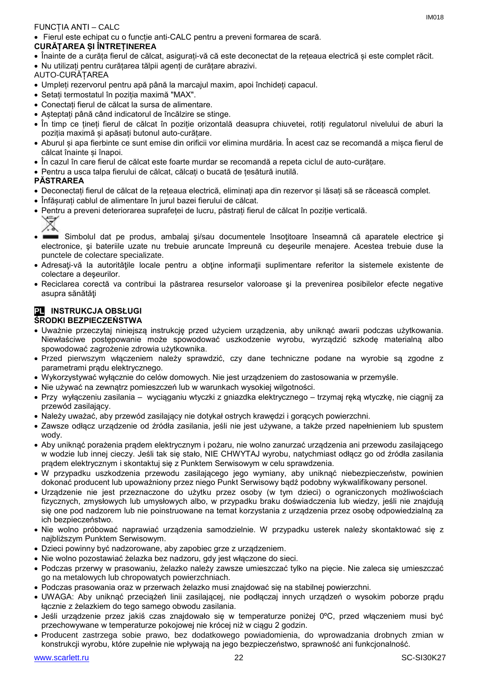## FUNCȚIA ANTI – CALC

Fierul este echipat cu o funcție anti-CALC pentru a preveni formarea de scară.

## **CURĂȚAREA ȘI ÎNTREȚINEREA**

- Înainte de a curăța fierul de călcat, asigurați-vă că este deconectat de la rețeaua electrică și este complet răcit.
- Nu utilizați pentru curățarea tălpii agenți de curățare abrazivi.
- AUTO-CURĂȚAREA
- Umpleți rezervorul pentru apă până la marcajul maxim, apoi închideți capacul.
- Setați termostatul în poziția maximă "MAX".
- Conectați fierul de călcat la sursa de alimentare.
- Așteptați până când indicatorul de încălzire se stinge.
- În timp ce țineți fierul de călcat în poziție orizontală deasupra chiuvetei, rotiți regulatorul nivelului de aburi la poziția maximă și apăsați butonul auto-curățare.
- Aburul și apa fierbinte ce sunt emise din orificii vor elimina murdăria. În acest caz se recomandă a mișca fierul de călcat înainte și înapoi.
- În cazul în care fierul de călcat este foarte murdar se recomandă a repeta ciclul de auto-curățare.
- Pentru a usca talpa fierului de călcat, călcați o bucată de țesătură inutilă.

## **PĂSTRAREA**

- Deconectați fierul de călcat de la rețeaua electrică, eliminați apa din rezervor și lăsați să se răcească complet.
- Înfășurați cablul de alimentare în jurul bazei fierului de călcat.
- Pentru a preveni deteriorarea suprafeței de lucru, păstrați fierul de călcat în poziție verticală.
	- $\overline{\mathbb{X}}$
- Simbolul dat pe produs, ambalaj si/sau documentele însotitoare înseamnă că aparatele electrice și electronice, şi bateriile uzate nu trebuie aruncate împreună cu deşeurile menajere. Acestea trebuie duse la punctele de colectare specializate.
- Adresaţi-vă la autorităţile locale pentru a obţine informaţii suplimentare referitor la sistemele existente de colectare a deşeurilor.
- Reciclarea corectă va contribui la păstrarea resurselor valoroase şi la prevenirea posibilelor efecte negative asupra sănătăţi

## **PL INSTRUKCJA OBSŁUGI ŚRODKI BEZPIECZEŃSTWA**

- Uważnie przeczytaj niniejszą instrukcję przed użyciem urządzenia, aby uniknąć awarii podczas użytkowania. Niewłaściwe postępowanie może spowodować uszkodzenie wyrobu, wyrządzić szkodę materialną albo spowodować zagrożenie zdrowia użytkownika.
- Przed pierwszym włączeniem należy sprawdzić, czy dane techniczne podane na wyrobie są zgodne z parametrami prądu elektrycznego.
- Wykorzystywać wyłącznie do celów domowych. Nie jest urządzeniem do zastosowania w przemyśle.
- Nie używać na zewnątrz pomieszczeń lub w warunkach wysokiej wilgotności.
- Przy wyłączeniu zasilania wyciąganiu wtyczki z gniazdka elektrycznego trzymaj ręką wtyczkę, nie ciągnij za przewód zasilający.
- Należy uważać, aby przewód zasilający nie dotykał ostrych krawędzi i gorących powierzchni.
- Zawsze odłącz urządzenie od źródła zasilania, jeśli nie jest używane, a także przed napełnieniem lub spustem wody.
- Aby uniknąć porażenia prądem elektrycznym i pożaru, nie wolno zanurzać urządzenia ani przewodu zasilającego w wodzie lub innej cieczy. Jeśli tak się stało, NIE CHWYTAJ wyrobu, natychmiast odłącz go od źródła zasilania prądem elektrycznym i skontaktuj się z Punktem Serwisowym w celu sprawdzenia.
- W przypadku uszkodzenia przewodu zasilającego jego wymiany, aby uniknąć niebezpieczeństw, powinien dokonać producent lub upoważniony przez niego Punkt Serwisowy bądź podobny wykwalifikowany personel.
- Urządzenie nie jest przeznaczone do użytku przez osoby (w tym dzieci) o ograniczonych możliwościach fizycznych, zmysłowych lub umysłowych albo, w przypadku braku doświadczenia lub wiedzy, jeśli nie znajdują się one pod nadzorem lub nie poinstruowane na temat korzystania z urządzenia przez osobę odpowiedzialną za ich bezpieczeństwo.
- Nie wolno próbować naprawiać urządzenia samodzielnie. W przypadku usterek należy skontaktować się z najbliższym Punktem Serwisowym.
- Dzieci powinny być nadzorowane, aby zapobiec grze z urządzeniem.
- Nie wolno pozostawiać żelazka bez nadzoru, gdy jest włączone do sieci.
- Podczas przerwy w prasowaniu, żelazko należy zawsze umieszczać tylko na pięcie. Nie zaleca się umieszczać go na metalowych lub chropowatych powierzchniach.
- Podczas prasowania oraz w przerwach żelazko musi znajdować się na stabilnej powierzchni.
- UWAGA: Aby uniknąć przeciążeń linii zasilającej, nie podłączaj innych urządzeń o wysokim poborze prądu łącznie z żelazkiem do tego samego obwodu zasilania.
- Jeśli urządzenie przez jakiś czas znajdowało się w temperaturze poniżej 0ºC, przed włączeniem musi być przechowywane w temperaturze pokojowej nie krócej niż w ciągu 2 godzin.
- Producent zastrzega sobie prawo, bez dodatkowego powiadomienia, do wprowadzania drobnych zmian w konstrukcji wyrobu, które zupełnie nie wpływają na jego bezpieczeństwo, sprawność ani funkcjonalność.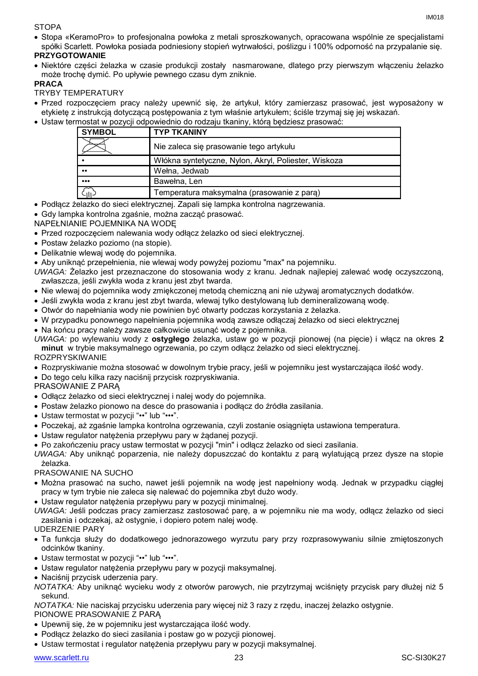#### **STOPA**

 Stopa «KeramoPro» to profesjonalna powłoka z metali sproszkowanych, opracowana wspólnie ze specjalistami spółki Scarlett. Powłoka posiada podniesiony stopień wytrwałości, poślizgu i 100% odporność na przypalanie się.

## **PRZYGOTOWANIE**

 Niektóre części żelazka w czasie produkcji zostały nasmarowane, dlatego przy pierwszym włączeniu żelazko może trochę dymić. Po upływie pewnego czasu dym zniknie.

## **PRACA**

TRYBY TEMPERATURY

- Przed rozpoczęciem pracy należy upewnić się, że artykuł, który zamierzasz prasować, jest wyposażony w etykietę z instrukcją dotyczącą postępowania z tym właśnie artykułem; ściśle trzymaj się jej wskazań.
- Ustaw termostat w pozycji odpowiednio do rodzaju tkaniny, którą będziesz prasować: **SYMBOL TYP TKANINY**

| <b>STMBUL</b>           | I TP I NANINT                                        |
|-------------------------|------------------------------------------------------|
|                         | Nie zaleca się prasowanie tego artykułu              |
|                         | Włókna syntetyczne, Nylon, Akryl, Poliester, Wiskoza |
| $\bullet\bullet$        | Wełna, Jedwab                                        |
| $\bullet\bullet\bullet$ | Bawełna, Len                                         |
| د <sub>اا</sub> ب       | Temperatura maksymalna (prasowanie z para)           |

## Podłącz żelazko do sieci elektrycznej. Zapali się lampka kontrolna nagrzewania.

- Gdy lampka kontrolna zgaśnie, można zacząć prasować.
- NAPEŁNIANIE POJEMNIKA NA WODĘ
- Przed rozpoczęciem nalewania wody odłącz żelazko od sieci elektrycznej.
- Postaw żelazko poziomo (na stopie).
- Delikatnie wlewaj wodę do pojemnika.
- Aby uniknąć przepełnienia, nie wlewaj wody powyżej poziomu "max" na pojemniku.
- *UWAGA:* Żelazko jest przeznaczone do stosowania wody z kranu. Jednak najlepiej zalewać wodę oczyszczoną, zwłaszcza, jeśli zwykła woda z kranu jest zbyt twarda.
- Nie wlewaj do pojemnika wody zmiękczonej metodą chemiczną ani nie używaj aromatycznych dodatków.
- Jeśli zwykła woda z kranu jest zbyt twarda, wlewaj tylko destylowaną lub demineralizowaną wodę.
- Otwór do napełniania wody nie powinien być otwarty podczas korzystania z żelazka.
- W przypadku ponownego napełnienia pojemnika wodą zawsze odłączaj żelazko od sieci elektrycznej
- Na końcu pracy należy zawsze całkowicie usunąć wodę z pojemnika.
- *UWAGA:* po wylewaniu wody z **ostygłego** żelazka, ustaw go w pozycji pionowej (na pięcie) i włącz na okres **2 minut** w trybie maksymalnego ogrzewania, po czym odłącz żelazko od sieci elektrycznej.

#### ROZPRYSKIWANIE

- Rozpryskiwanie można stosować w dowolnym trybie pracy, jeśli w pojemniku jest wystarczająca ilość wody.
- Do tego celu kilka razy naciśnij przycisk rozpryskiwania.

PRASOWANIE Z PARĄ

- Odłącz żelazko od sieci elektrycznej i nalej wody do pojemnika.
- Postaw żelazko pionowo na desce do prasowania i podłącz do źródła zasilania.
- Ustaw termostat w pozycji "••" lub "•••".
- Poczekaj, aż zgaśnie lampka kontrolna ogrzewania, czyli zostanie osiągnięta ustawiona temperatura.
- Ustaw regulator natężenia przepływu pary w żądanej pozycji.
- Po zakończeniu pracy ustaw termostat w pozycji "min" i odłącz żelazko od sieci zasilania.

*UWAGA:* Aby uniknąć poparzenia, nie należy dopuszczać do kontaktu z parą wylatującą przez dysze na stopie żelazka.

#### PRASOWANIE NA SUCHO

- Można prasować na sucho, nawet jeśli pojemnik na wodę jest napełniony wodą. Jednak w przypadku ciągłej pracy w tym trybie nie zaleca się nalewać do pojemnika zbyt dużo wody.
- Ustaw regulator natężenia przepływu pary w pozycji minimalnej.

*UWAGA:* Jeśli podczas pracy zamierzasz zastosować parę, a w pojemniku nie ma wody, odłącz żelazko od sieci zasilania i odczekaj, aż ostygnie, i dopiero potem nalej wodę.

## UDERZENIE PARY

- Ta funkcja służy do dodatkowego jednorazowego wyrzutu pary przy rozprasowywaniu silnie zmiętoszonych odcinków tkaniny.
- Ustaw termostat w pozycji "••" lub "•••".
- Ustaw regulator natężenia przepływu pary w pozycji maksymalnej.
- Naciśnij przycisk uderzenia pary.
- *NOTATKA:* Aby uniknąć wycieku wody z otworów parowych, nie przytrzymaj wciśnięty przycisk pary dłużej niż 5 sekund.

*NOTATKA:* Nie naciskaj przycisku uderzenia pary więcej niż 3 razy z rzędu, inaczej żelazko ostygnie.

#### PIONOWE PRASOWANIE Z PARĄ

- Upewnij się, że w pojemniku jest wystarczająca ilość wody.
- Podłącz żelazko do sieci zasilania i postaw go w pozycji pionowej.
- Ustaw termostat i regulator natężenia przepływu pary w pozycji maksymalnej.